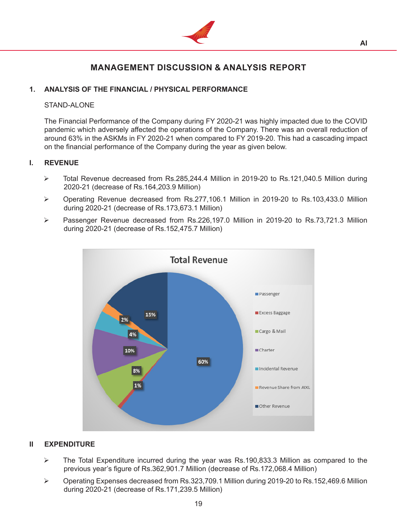

## **MANAGEMENT DISCUSSION & ANALYSIS REPORT**

## **1. ANALYSIS OF THE FINANCIAL / PHYSICAL PERFORMANCE**

### STAND-ALONE

 The Financial Performance of the Company during FY 2020-21 was highly impacted due to the COVID pandemic which adversely affected the operations of the Company. There was an overall reduction of around 63% in the ASKMs in FY 2020-21 when compared to FY 2019-20. This had a cascading impact on the financial performance of the Company during the year as given below.

## **I. REVENUE**

- Total Revenue decreased from Rs.285,244.4 Million in 2019-20 to Rs.121,040.5 Million during 2020-21 (decrease of Rs.164,203.9 Million)
- Operating Revenue decreased from Rs.277,106.1 Million in 2019-20 to Rs.103,433.0 Million during 2020-21 (decrease of Rs.173,673.1 Million)
- Passenger Revenue decreased from Rs.226,197.0 Million in 2019-20 to Rs.73,721.3 Million during 2020-21 (decrease of Rs.152,475.7 Million)



## **II EXPENDITURE**

- The Total Expenditure incurred during the year was Rs.190,833.3 Million as compared to the previous year's figure of Rs.362,901.7 Million (decrease of Rs.172,068.4 Million)
- Operating Expenses decreased from Rs.323,709.1 Million during 2019-20 to Rs.152,469.6 Million during 2020-21 (decrease of Rs.171,239.5 Million)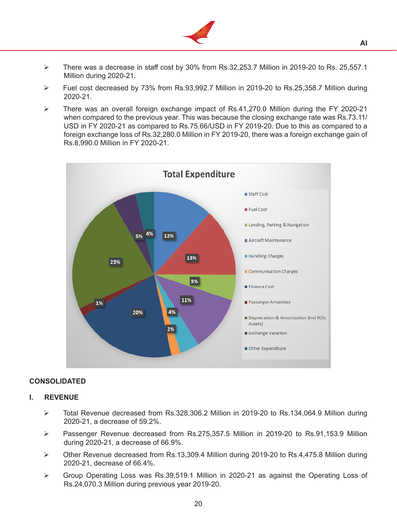

- $\triangleright$  There was a decrease in staff cost by 30% from Rs.32,253.7 Million in 2019-20 to Rs. 25,557.1 Million during 2020-21.
- Fuel cost decreased by 73% from Rs.93,992.7 Million in 2019-20 to Rs.25,358.7 Million during 2020-21.
- There was an overall foreign exchange impact of Rs.41,270.0 Million during the FY 2020-21 when compared to the previous year. This was because the closing exchange rate was Rs.73.11/ USD in FY 2020-21 as compared to Rs.75.66/USD in FY 2019-20. Due to this as compared to a foreign exchange loss of Rs.32,280.0 Million in FY 2019-20, there was a foreign exchange gain of Rs.8,990.0 Million in FY 2020-21.



### **CONSOLIDATED**

#### **I. REVENUE**

- Total Revenue decreased from Rs.328,306.2 Million in 2019-20 to Rs.134,064.9 Million during 2020-21, a decrease of 59.2%.
- Passenger Revenue decreased from Rs.275,357.5 Million in 2019-20 to Rs.91,153.9 Million during 2020-21, a decrease of 66.9%.
- Other Revenue decreased from Rs.13,309.4 Million during 2019-20 to Rs.4,475.8 Million during 2020-21, decrease of 66.4%.
- Group Operating Loss was Rs.39,519.1 Million in 2020-21 as against the Operating Loss of Rs.24,070.3 Million during previous year 2019-20.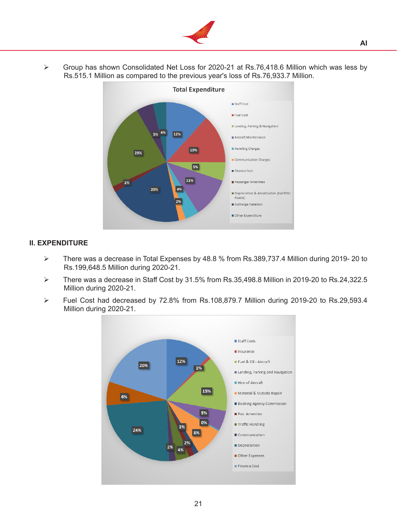

 Group has shown Consolidated Net Loss for 2020-21 at Rs.76,418.6 Million which was less by Rs.515.1 Million as compared to the previous year's loss of Rs.76,933.7 Million.



## **II. EXPENDITURE**

- There was a decrease in Total Expenses by 48.8 % from Rs.389,737.4 Million during 2019- 20 to Rs.199,648.5 Million during 2020-21.
- There was a decrease in Staff Cost by 31.5% from Rs.35,498.8 Million in 2019-20 to Rs.24,322.5 Million during 2020-21.
- Fuel Cost had decreased by 72.8% from Rs.108,879.7 Million during 2019-20 to Rs.29,593.4 Million during 2020-21.

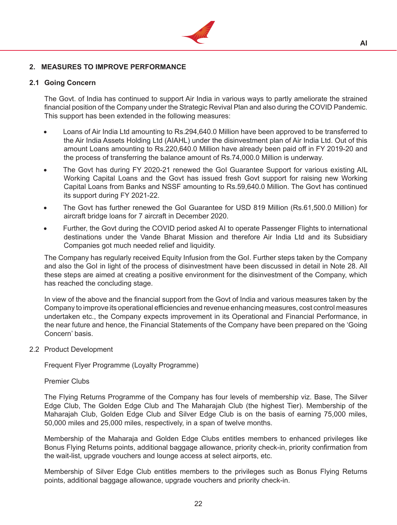

#### **2. MEASURES TO IMPROVE PERFORMANCE**

#### **2.1 Going Concern**

The Govt. of India has continued to support Air India in various ways to partly ameliorate the strained financial position of the Company under the Strategic Revival Plan and also during the COVID Pandemic. This support has been extended in the following measures:

- Loans of Air India Ltd amounting to Rs.294,640.0 Million have been approved to be transferred to the Air India Assets Holding Ltd (AIAHL) under the disinvestment plan of Air India Ltd. Out of this amount Loans amounting to Rs.220,640.0 Million have already been paid off in FY 2019-20 and the process of transferring the balance amount of Rs.74,000.0 Million is underway.
- The Govt has during FY 2020-21 renewed the Gol Guarantee Support for various existing AIL Working Capital Loans and the Govt has issued fresh Govt support for raising new Working Capital Loans from Banks and NSSF amounting to Rs.59,640.0 Million. The Govt has continued its support during FY 2021-22.
- The Govt has further renewed the GoI Guarantee for USD 819 Million (Rs.61,500.0 Million) for aircraft bridge loans for 7 aircraft in December 2020.
- Further, the Govt during the COVID period asked AI to operate Passenger Flights to international destinations under the Vande Bharat Mission and therefore Air India Ltd and its Subsidiary Companies got much needed relief and liquidity.

 The Company has regularly received Equity Infusion from the GoI. Further steps taken by the Company and also the GoI in light of the process of disinvestment have been discussed in detail in Note 28. All these steps are aimed at creating a positive environment for the disinvestment of the Company, which has reached the concluding stage.

 In view of the above and the financial support from the Govt of India and various measures taken by the Company to improve its operational efficiencies and revenue enhancing measures, cost control measures undertaken etc., the Company expects improvement in its Operational and Financial Performance, in the near future and hence, the Financial Statements of the Company have been prepared on the 'Going Concern' basis.

2.2 Product Development

 Frequent Flyer Programme (Loyalty Programme)

 Premier Clubs

 The Flying Returns Programme of the Company has four levels of membership viz. Base, The Silver Edge Club, The Golden Edge Club and The Maharajah Club (the highest Tier). Membership of the Maharajah Club, Golden Edge Club and Silver Edge Club is on the basis of earning 75,000 miles, 50,000 miles and 25,000 miles, respectively, in a span of twelve months.

 Membership of the Maharaja and Golden Edge Clubs entitles members to enhanced privileges like Bonus Flying Returns points, additional baggage allowance, priority check-in, priority confirmation from the wait-list, upgrade vouchers and lounge access at select airports, etc.

 Membership of Silver Edge Club entitles members to the privileges such as Bonus Flying Returns points, additional baggage allowance, upgrade vouchers and priority check-in.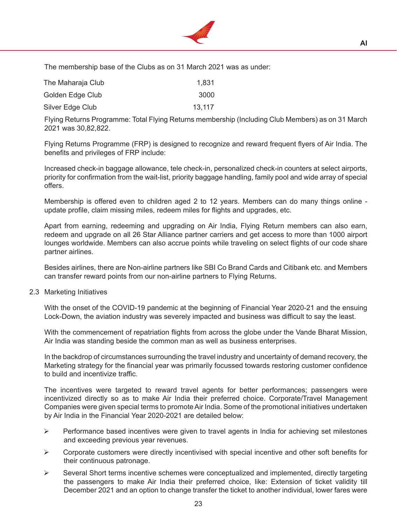

 The membership base of the Clubs as on 31 March 2021 was as under:

| The Maharaja Club | 1,831  |
|-------------------|--------|
| Golden Edge Club  | 3000   |
| Silver Edge Club  | 13.117 |

 Flying Returns Programme: Total Flying Returns membership (Including Club Members) as on 31 March 2021 was 30,82,822.

 Flying Returns Programme (FRP) is designed to recognize and reward frequent flyers of Air India. The benefits and privileges of FRP include:

 Increased check-in baggage allowance, tele check-in, personalized check-in counters at select airports, priority for confirmation from the wait-list, priority baggage handling, family pool and wide array of special offers.

 Membership is offered even to children aged 2 to 12 years. Members can do many things online update profile, claim missing miles, redeem miles for flights and upgrades, etc.

 Apart from earning, redeeming and upgrading on Air India, Flying Return members can also earn, redeem and upgrade on all 26 Star Alliance partner carriers and get access to more than 1000 airport lounges worldwide. Members can also accrue points while traveling on select flights of our code share partner airlines.

 Besides airlines, there are Non-airline partners like SBI Co Brand Cards and Citibank etc. and Members can transfer reward points from our non-airline partners to Flying Returns.

#### 2.3 Marketing Initiatives

 With the onset of the COVID-19 pandemic at the beginning of Financial Year 2020-21 and the ensuing Lock-Down, the aviation industry was severely impacted and business was difficult to say the least.

 With the commencement of repatriation flights from across the globe under the Vande Bharat Mission, Air India was standing beside the common man as well as business enterprises.

 In the backdrop of circumstances surrounding the travel industry and uncertainty of demand recovery, the Marketing strategy for the financial year was primarily focussed towards restoring customer confidence to build and incentivize traffic.

 The incentives were targeted to reward travel agents for better performances; passengers were incentivized directly so as to make Air India their preferred choice. Corporate/Travel Management Companies were given special terms to promote Air India. Some of the promotional initiatives undertaken by Air India in the Financial Year 2020-2021 are detailed below:

- $\triangleright$  Performance based incentives were given to travel agents in India for achieving set milestones and exceeding previous year revenues.
- $\triangleright$  Corporate customers were directly incentivised with special incentive and other soft benefits for their continuous patronage.
- $\triangleright$  Several Short terms incentive schemes were conceptualized and implemented, directly targeting the passengers to make Air India their preferred choice, like: Extension of ticket validity till December 2021 and an option to change transfer the ticket to another individual, lower fares were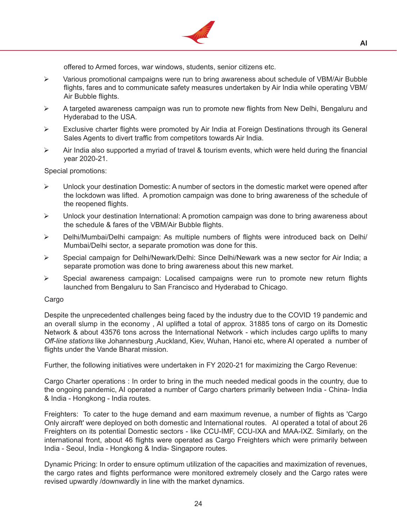

offered to Armed forces, war windows, students, senior citizens etc.

- Various promotional campaigns were run to bring awareness about schedule of VBM/Air Bubble flights, fares and to communicate safety measures undertaken by Air India while operating VBM/ Air Bubble flights.
- $\triangleright$  A targeted awareness campaign was run to promote new flights from New Delhi, Bengaluru and Hyderabad to the USA.
- $\triangleright$  Exclusive charter flights were promoted by Air India at Foreign Destinations through its General Sales Agents to divert traffic from competitors towards Air India.
- $\triangleright$  Air India also supported a myriad of travel & tourism events, which were held during the financial year 2020-21.

 Special promotions:

- $\triangleright$  Unlock your destination Domestic: A number of sectors in the domestic market were opened after the lockdown was lifted. A promotion campaign was done to bring awareness of the schedule of the reopened flights.
- $\triangleright$  Unlock your destination International: A promotion campaign was done to bring awareness about the schedule & fares of the VBM/Air Bubble flights.
- Delhi/Mumbai/Delhi campaign: As multiple numbers of flights were introduced back on Delhi/ Mumbai/Delhi sector, a separate promotion was done for this.
- Special campaign for Delhi/Newark/Delhi: Since Delhi/Newark was a new sector for Air India; a separate promotion was done to bring awareness about this new market.
- $\triangleright$  Special awareness campaign: Localised campaigns were run to promote new return flights launched from Bengaluru to San Francisco and Hyderabad to Chicago.

#### Cargo

 Despite the unprecedented challenges being faced by the industry due to the COVID 19 pandemic and an overall slump in the economy , AI uplifted a total of approx. 31885 tons of cargo on its Domestic Network & about 43576 tons across the International Network - which includes cargo uplifts to many *Off-line stations* like Johannesburg ,Auckland, Kiev, Wuhan, Hanoi etc, where AI operated a number of flights under the Vande Bharat mission.

 Further, the following initiatives were undertaken in FY 2020-21 for maximizing the Cargo Revenue:

 Cargo Charter operations : In order to bring in the much needed medical goods in the country, due to the ongoing pandemic, AI operated a number of Cargo charters primarily between India - China- India & India - Hongkong - India routes.

 Freighters: To cater to the huge demand and earn maximum revenue, a number of flights as 'Cargo Only aircraft' were deployed on both domestic and International routes. AI operated a total of about 26 Freighters on its potential Domestic sectors - like CCU-IMF, CCU-IXA and MAA-IXZ. Similarly, on the international front, about 46 flights were operated as Cargo Freighters which were primarily between India - Seoul, India - Hongkong & India- Singapore routes.

 Dynamic Pricing: In order to ensure optimum utilization of the capacities and maximization of revenues, the cargo rates and flights performance were monitored extremely closely and the Cargo rates were revised upwardly /downwardly in line with the market dynamics.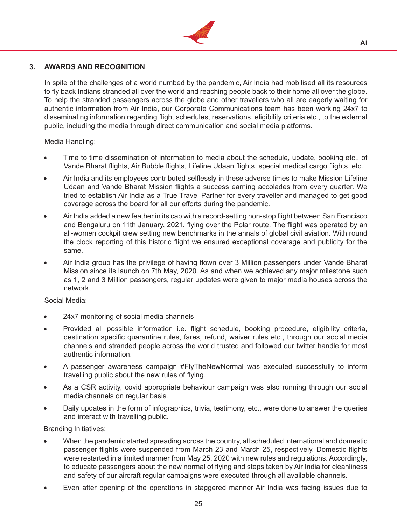

## **3. AWARDS AND RECOGNITION**

In spite of the challenges of a world numbed by the pandemic, Air India had mobilised all its resources to fly back Indians stranded all over the world and reaching people back to their home all over the globe. To help the stranded passengers across the globe and other travellers who all are eagerly waiting for authentic information from Air India, our Corporate Communications team has been working 24x7 to disseminating information regarding flight schedules, reservations, eligibility criteria etc., to the external public, including the media through direct communication and social media platforms.

## Media Handling:

- Time to time dissemination of information to media about the schedule, update, booking etc., of Vande Bharat flights, Air Bubble flights, Lifeline Udaan flights, special medical cargo flights, etc.
- Air India and its employees contributed selflessly in these adverse times to make Mission Lifeline Udaan and Vande Bharat Mission flights a success earning accolades from every quarter. We tried to establish Air India as a True Travel Partner for every traveller and managed to get good coverage across the board for all our efforts during the pandemic.
- Air India added a new feather in its cap with a record-setting non-stop flight between San Francisco and Bengaluru on 11th January, 2021, flying over the Polar route. The flight was operated by an all-women cockpit crew setting new benchmarks in the annals of global civil aviation. With round the clock reporting of this historic flight we ensured exceptional coverage and publicity for the same.
- Air India group has the privilege of having flown over 3 Million passengers under Vande Bharat Mission since its launch on 7th May, 2020. As and when we achieved any major milestone such as 1, 2 and 3 Million passengers, regular updates were given to major media houses across the network.

## Social Media:

- 24x7 monitoring of social media channels
- Provided all possible information i.e. flight schedule, booking procedure, eligibility criteria, destination specific quarantine rules, fares, refund, waiver rules etc., through our social media channels and stranded people across the world trusted and followed our twitter handle for most authentic information.
- A passenger awareness campaign #FlyTheNewNormal was executed successfully to inform travelling public about the new rules of flying.
- As a CSR activity, covid appropriate behaviour campaign was also running through our social media channels on regular basis.
- Daily updates in the form of infographics, trivia, testimony, etc., were done to answer the queries and interact with travelling public.

Branding Initiatives:

- When the pandemic started spreading across the country, all scheduled international and domestic passenger flights were suspended from March 23 and March 25, respectively. Domestic flights were restarted in a limited manner from May 25, 2020 with new rules and regulations. Accordingly, to educate passengers about the new normal of flying and steps taken by Air India for cleanliness and safety of our aircraft regular campaigns were executed through all available channels.
- Even after opening of the operations in staggered manner Air India was facing issues due to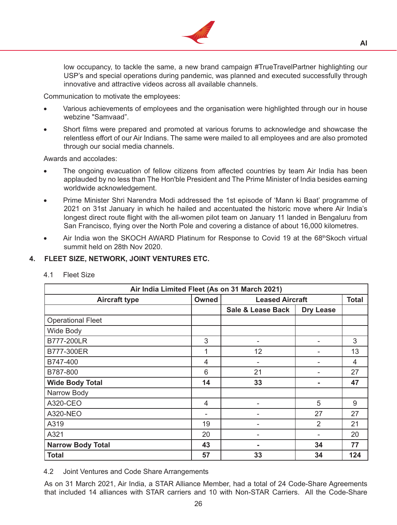

low occupancy, to tackle the same, a new brand campaign #TrueTravelPartner highlighting our USP's and special operations during pandemic, was planned and executed successfully through innovative and attractive videos across all available channels.

Communication to motivate the employees:

- Various achievements of employees and the organisation were highlighted through our in house webzine "Samvaad".
- Short films were prepared and promoted at various forums to acknowledge and showcase the relentless effort of our Air Indians. The same were mailed to all employees and are also promoted through our social media channels.

Awards and accolades:

- The ongoing evacuation of fellow citizens from affected countries by team Air India has been applauded by no less than The Hon'ble President and The Prime Minister of India besides earning worldwide acknowledgement.
- Prime Minister Shri Narendra Modi addressed the 1st episode of 'Mann ki Baat' programme of 2021 on 31st January in which he hailed and accentuated the historic move where Air India's longest direct route flight with the all-women pilot team on January 11 landed in Bengaluru from San Francisco, flying over the North Pole and covering a distance of about 16,000 kilometres.
- Air India won the SKOCH AWARD Platinum for Response to Covid 19 at the 68th Skoch virtual summit held on 28th Nov 2020.

## **4. FLEET SIZE, NETWORK, JOINT VENTURES ETC.**

| Air India Limited Fleet (As on 31 March 2021) |                                                 |                   |                  |     |  |  |
|-----------------------------------------------|-------------------------------------------------|-------------------|------------------|-----|--|--|
| <b>Aircraft type</b>                          | Owned<br><b>Leased Aircraft</b><br><b>Total</b> |                   |                  |     |  |  |
|                                               |                                                 | Sale & Lease Back | <b>Dry Lease</b> |     |  |  |
| <b>Operational Fleet</b>                      |                                                 |                   |                  |     |  |  |
| Wide Body                                     |                                                 |                   |                  |     |  |  |
| B777-200LR                                    | 3                                               |                   |                  | 3   |  |  |
| B777-300ER                                    | 1                                               | 12                |                  | 13  |  |  |
| B747-400                                      | 4                                               |                   |                  | 4   |  |  |
| B787-800                                      | 6                                               | 21                |                  | 27  |  |  |
| <b>Wide Body Total</b>                        | 14                                              | 33                |                  | 47  |  |  |
| Narrow Body                                   |                                                 |                   |                  |     |  |  |
| A320-CEO                                      | 4                                               |                   | 5                | 9   |  |  |
| <b>A320-NEO</b>                               |                                                 |                   | 27               | 27  |  |  |
| A319                                          | 19                                              |                   | $\overline{2}$   | 21  |  |  |
| A321                                          | 20                                              |                   |                  | 20  |  |  |
| <b>Narrow Body Total</b>                      | 43                                              |                   | 34               | 77  |  |  |
| <b>Total</b>                                  | 57                                              | 33                | 34               | 124 |  |  |

4.1 Fleet Size

4.2 Joint Ventures and Code Share Arrangements

 As on 31 March 2021, Air India, a STAR Alliance Member, had a total of 24 Code-Share Agreements that included 14 alliances with STAR carriers and 10 with Non-STAR Carriers. All the Code-Share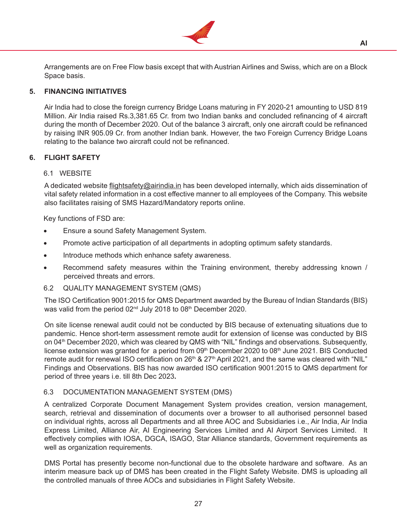

Arrangements are on Free Flow basis except that with Austrian Airlines and Swiss, which are on a Block Space basis.

## **5. FINANCING INITIATIVES**

Air India had to close the foreign currency Bridge Loans maturing in FY 2020-21 amounting to USD 819 Million. Air India raised Rs.3,381.65 Cr. from two Indian banks and concluded refinancing of 4 aircraft during the month of December 2020. Out of the balance 3 aircraft, only one aircraft could be refinanced by raising INR 905.09 Cr. from another Indian bank. However, the two Foreign Currency Bridge Loans relating to the balance two aircraft could not be refinanced.

## **6. FLIGHT SAFETY**

#### 6.1 WEBSITE

 A dedicated website flightsafety@airindia.in has been developed internally, which aids dissemination of vital safety related information in a cost effective manner to all employees of the Company. This website also facilitates raising of SMS Hazard/Mandatory reports online.

Key functions of FSD are:

- Ensure a sound Safety Management System.
- Promote active participation of all departments in adopting optimum safety standards.
- Introduce methods which enhance safety awareness.
- Recommend safety measures within the Training environment, thereby addressing known / perceived threats and errors.
- 6.2 QUALITY MANAGEMENT SYSTEM (QMS)

 The ISO Certification 9001:2015 for QMS Department awarded by the Bureau of Indian Standards (BIS) was valid from the period 02<sup>nd</sup> July 2018 to 08<sup>th</sup> December 2020.

 On site license renewal audit could not be conducted by BIS because of extenuating situations due to pandemic. Hence short-term assessment remote audit for extension of license was conducted by BIS on 04<sup>th</sup> December 2020, which was cleared by QMS with "NIL" findings and observations. Subsequently, license extension was granted for a period from 09<sup>th</sup> December 2020 to 08<sup>th</sup> June 2021. BIS Conducted remote audit for renewal ISO certification on 26<sup>th</sup> & 27<sup>th</sup> April 2021, and the same was cleared with "NIL" Findings and Observations. BIS has now awarded ISO certification 9001:2015 to QMS department for period of three years i.e. till 8th Dec 2023**.**

#### 6.3 DOCUMENTATION MANAGEMENT SYSTEM (DMS)

 A centralized Corporate Document Management System provides creation, version management, search, retrieval and dissemination of documents over a browser to all authorised personnel based on individual rights, across all Departments and all three AOC and Subsidiaries i.e., Air India, Air India Express Limited, Alliance Air, AI Engineering Services Limited and AI Airport Services Limited. It effectively complies with IOSA, DGCA, ISAGO, Star Alliance standards, Government requirements as well as organization requirements.

 DMS Portal has presently become non-functional due to the obsolete hardware and software. As an interim measure back up of DMS has been created in the Flight Safety Website. DMS is uploading all the controlled manuals of three AOCs and subsidiaries in Flight Safety Website.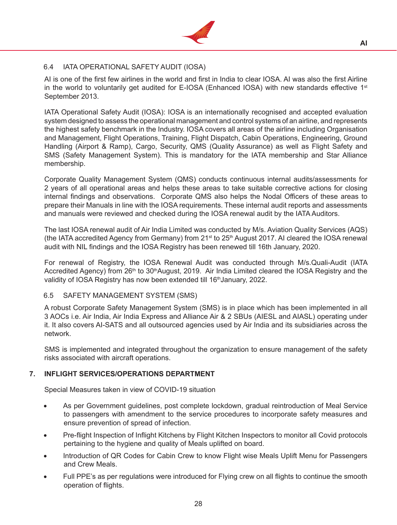

## 6.4 IATA OPERATIONAL SAFETY AUDIT (IOSA)

 AI is one of the first few airlines in the world and first in India to clear IOSA. AI was also the first Airline in the world to voluntarily get audited for E-IOSA (Enhanced IOSA) with new standards effective 1<sup>st</sup> September 2013.

 IATA Operational Safety Audit (IOSA): IOSA is an internationally recognised and accepted evaluation system designed to assess the operational management and control systems of an airline, and represents the highest safety benchmark in the Industry. IOSA covers all areas of the airline including Organisation and Management, Flight Operations, Training, Flight Dispatch, Cabin Operations, Engineering, Ground Handling (Airport & Ramp), Cargo, Security, QMS (Quality Assurance) as well as Flight Safety and SMS (Safety Management System). This is mandatory for the IATA membership and Star Alliance membership.

 Corporate Quality Management System (QMS) conducts continuous internal audits/assessments for 2 years of all operational areas and helps these areas to take suitable corrective actions for closing internal findings and observations. Corporate QMS also helps the Nodal Officers of these areas to prepare their Manuals in line with the IOSA requirements. These internal audit reports and assessments and manuals were reviewed and checked during the IOSA renewal audit by the IATA Auditors.

 The last IOSA renewal audit of Air India Limited was conducted by M/s. Aviation Quality Services (AQS) (the IATA accredited Agency from Germany) from  $21<sup>st</sup>$  to  $25<sup>th</sup>$  August 2017. AI cleared the IOSA renewal audit with NIL findings and the IOSA Registry has been renewed till 16th January, 2020.

 For renewal of Registry, the IOSA Renewal Audit was conducted through M/s.Quali-Audit (IATA Accredited Agency) from 26<sup>th</sup> to 30<sup>th</sup>August, 2019. Air India Limited cleared the IOSA Registry and the validity of IOSA Registry has now been extended till 16<sup>th</sup> January, 2022.

#### 6.5 SAFETY MANAGEMENT SYSTEM (SMS)

 A robust Corporate Safety Management System (SMS) is in place which has been implemented in all 3 AOCs i.e. Air India, Air India Express and Alliance Air & 2 SBUs (AIESL and AIASL) operating under it. It also covers AI-SATS and all outsourced agencies used by Air India and its subsidiaries across the network.

SMS is implemented and integrated throughout the organization to ensure management of the safety risks associated with aircraft operations.

#### **7. INFLIGHT SERVICES/OPERATIONS DEPARTMENT**

Special Measures taken in view of COVID-19 situation

- As per Government guidelines, post complete lockdown, gradual reintroduction of Meal Service to passengers with amendment to the service procedures to incorporate safety measures and ensure prevention of spread of infection.
- Pre-flight Inspection of Inflight Kitchens by Flight Kitchen Inspectors to monitor all Covid protocols pertaining to the hygiene and quality of Meals uplifted on board.
- Introduction of QR Codes for Cabin Crew to know Flight wise Meals Uplift Menu for Passengers and Crew Meals.
- Full PPE's as per regulations were introduced for Flying crew on all flights to continue the smooth operation of flights.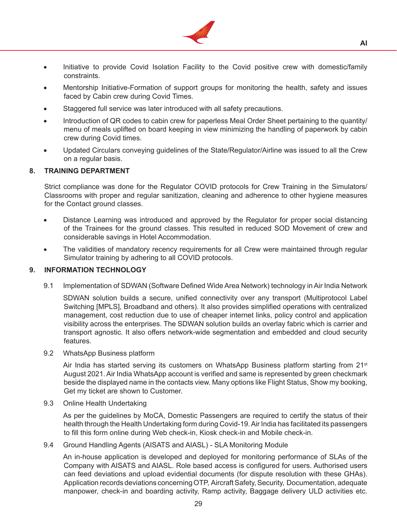

- Initiative to provide Covid Isolation Facility to the Covid positive crew with domestic/family constraints.
- Mentorship Initiative-Formation of support groups for monitoring the health, safety and issues faced by Cabin crew during Covid Times.
- Staggered full service was later introduced with all safety precautions.
- Introduction of QR codes to cabin crew for paperless Meal Order Sheet pertaining to the quantity/ menu of meals uplifted on board keeping in view minimizing the handling of paperwork by cabin crew during Covid times.
- Updated Circulars conveying guidelines of the State/Regulator/Airline was issued to all the Crew on a regular basis.

### **8. TRAINING DEPARTMENT**

Strict compliance was done for the Regulator COVID protocols for Crew Training in the Simulators/ Classrooms with proper and regular sanitization, cleaning and adherence to other hygiene measures for the Contact ground classes.

- Distance Learning was introduced and approved by the Regulator for proper social distancing of the Trainees for the ground classes. This resulted in reduced SOD Movement of crew and considerable savings in Hotel Accommodation.
- The validities of mandatory recency requirements for all Crew were maintained through regular Simulator training by adhering to all COVID protocols.

#### **9. INFORMATION TECHNOLOGY**

9.1 Implementation of SDWAN (Software Defined Wide Area Network) technology in Air India Network

 SDWAN solution builds a secure, unified connectivity over any transport (Multiprotocol Label Switching [MPLS], Broadband and others). It also provides simplified operations with centralized management, cost reduction due to use of cheaper internet links, policy control and application visibility across the enterprises. The SDWAN solution builds an overlay fabric which is carrier and transport agnostic. It also offers network-wide segmentation and embedded and cloud security features.

9.2 WhatsApp Business platform

Air India has started serving its customers on WhatsApp Business platform starting from  $21<sup>st</sup>$ August 2021.Air India WhatsApp account is verified and same is represented by green checkmark beside the displayed name in the contacts view. Many options like Flight Status, Show my booking, Get my ticket are shown to Customer.

9.3 Online Health Undertaking

 As per the guidelines by MoCA, Domestic Passengers are required to certify the status of their health through the Health Undertaking form during Covid-19. Air India has facilitated its passengers to fill this form online during Web check-in, Kiosk check-in and Mobile check-in.

9.4 Ground Handling Agents (AISATS and AIASL) - SLA Monitoring Module

 An in-house application is developed and deployed for monitoring performance of SLAs of the Company with AISATS and AIASL. Role based access is configured for users. Authorised users can feed deviations and upload evidential documents (for dispute resolution with these GHAs). Application records deviations concerning OTP, Aircraft Safety, Security, Documentation, adequate manpower, check-in and boarding activity, Ramp activity, Baggage delivery ULD activities etc.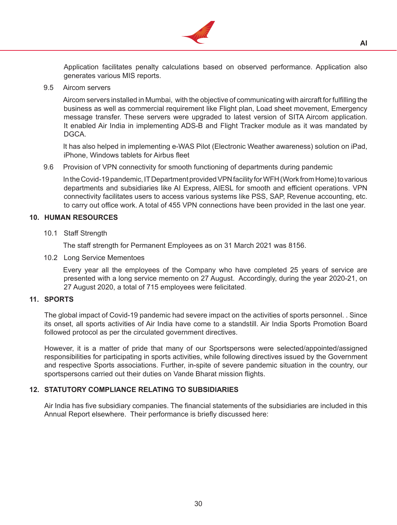

Application facilitates penalty calculations based on observed performance. Application also generates various MIS reports.

9.5 Aircom servers

 Aircom servers installed in Mumbai, with the objective of communicating with aircraft for fulfilling the business as well as commercial requirement like Flight plan, Load sheet movement, Emergency message transfer. These servers were upgraded to latest version of SITA Aircom application. It enabled Air India in implementing ADS-B and Flight Tracker module as it was mandated by DGCA.

 It has also helped in implementing e-WAS Pilot (Electronic Weather awareness) solution on iPad, iPhone, Windows tablets for Airbus fleet

9.6 Provision of VPN connectivity for smooth functioning of departments during pandemic

In the Covid-19 pandemic, IT Department provided VPN facility for WFH (Work from Home) to various departments and subsidiaries like AI Express, AIESL for smooth and efficient operations. VPN connectivity facilitates users to access various systems like PSS, SAP, Revenue accounting, etc. to carry out office work. A total of 455 VPN connections have been provided in the last one year.

#### **10. HUMAN RESOURCES**

10.1 Staff Strength

 The staff strength for Permanent Employees as on 31 March 2021 was 8156.

10.2 Long Service Mementoes

Every year all the employees of the Company who have completed 25 years of service are presented with a long service memento on 27 August. Accordingly, during the year 2020-21, on 27 August 2020, a total of 715 employees were felicitated.

#### **11. SPORTS**

The global impact of Covid-19 pandemic had severe impact on the activities of sports personnel. . Since its onset, all sports activities of Air India have come to a standstill. Air India Sports Promotion Board followed protocol as per the circulated government directives.

 However, it is a matter of pride that many of our Sportspersons were selected/appointed/assigned responsibilities for participating in sports activities, while following directives issued by the Government and respective Sports associations. Further, in-spite of severe pandemic situation in the country, our sportspersons carried out their duties on Vande Bharat mission flights.

## **12. STATUTORY COMPLIANCE RELATING TO SUBSIDIARIES**

Air India has five subsidiary companies. The financial statements of the subsidiaries are included in this Annual Report elsewhere. Their performance is briefly discussed here: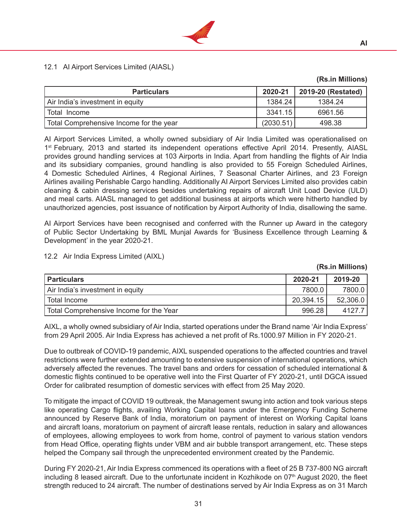

## 12.1 AI Airport Services Limited (AIASL)

| <b>Particulars</b>                      | 2020-21   | 2019-20 (Restated) |
|-----------------------------------------|-----------|--------------------|
| Air India's investment in equity        | 1384.24   | 1384.24            |
| l Total Income                          | 3341.15   | 6961.56            |
| Total Comprehensive Income for the year | (2030.51) | 498.38             |

 AI Airport Services Limited, a wholly owned subsidiary of Air India Limited was operationalised on 1<sup>st</sup> February, 2013 and started its independent operations effective April 2014. Presently, AIASL provides ground handling services at 103 Airports in India. Apart from handling the flights of Air India and its subsidiary companies, ground handling is also provided to 55 Foreign Scheduled Airlines, 4 Domestic Scheduled Airlines, 4 Regional Airlines, 7 Seasonal Charter Airlines, and 23 Foreign Airlines availing Perishable Cargo handling. Additionally AI Airport Services Limited also provides cabin cleaning & cabin dressing services besides undertaking repairs of aircraft Unit Load Device (ULD) and meal carts. AIASL managed to get additional business at airports which were hitherto handled by unauthorized agencies, post issuance of notification by Airport Authority of India, disallowing the same.

 AI Airport Services have been recognised and conferred with the Runner up Award in the category of Public Sector Undertaking by BML Munjal Awards for 'Business Excellence through Learning & Development' in the year 2020-21.

## 12.2 Air India Express Limited (AIXL)

| <b>Particulars</b>                      | 2020-21   | 2019-20  |
|-----------------------------------------|-----------|----------|
| Air India's investment in equity        | 7800.0    | 7800.0   |
| l Total Income                          | 20,394.15 | 52,306.0 |
| Total Comprehensive Income for the Year | 996.28    | 4127.7   |

AIXL, a wholly owned subsidiary of Air India, started operations under the Brand name 'Air India Express' from 29 April 2005. Air India Express has achieved a net profit of Rs.1000.97 Million in FY 2020-21.

 Due to outbreak of COVID-19 pandemic, AIXL suspended operations to the affected countries and travel restrictions were further extended amounting to extensive suspension of international operations, which adversely affected the revenues. The travel bans and orders for cessation of scheduled international & domestic flights continued to be operative well into the First Quarter of FY 2020-21, until DGCA issued Order for calibrated resumption of domestic services with effect from 25 May 2020.

 To mitigate the impact of COVID 19 outbreak, the Management swung into action and took various steps like operating Cargo flights, availing Working Capital loans under the Emergency Funding Scheme announced by Reserve Bank of India, moratorium on payment of interest on Working Capital loans and aircraft loans, moratorium on payment of aircraft lease rentals, reduction in salary and allowances of employees, allowing employees to work from home, control of payment to various station vendors from Head Office, operating flights under VBM and air bubble transport arrangement, etc. These steps helped the Company sail through the unprecedented environment created by the Pandemic.

 During FY 2020-21, Air India Express commenced its operations with a fleet of 25 B 737-800 NG aircraft including 8 leased aircraft. Due to the unfortunate incident in Kozhikode on 07<sup>th</sup> August 2020, the fleet strength reduced to 24 aircraft. The number of destinations served by Air India Express as on 31 March

**(Rs.in Millions)**

**(Rs.in Millions)**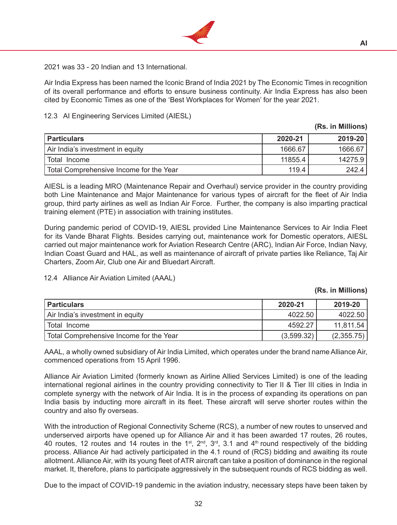

2021 was 33 - 20 Indian and 13 International.

 Air India Express has been named the Iconic Brand of India 2021 by The Economic Times in recognition of its overall performance and efforts to ensure business continuity. Air India Express has also been cited by Economic Times as one of the 'Best Workplaces for Women' for the year 2021.

## 12.3 AI Engineering Services Limited (AIESL)

| <b>Particulars</b>                      | 2020-21 | 2019-20 |
|-----------------------------------------|---------|---------|
| Air India's investment in equity        | 1666.67 | 1666.67 |
| Total Income                            | 11855.4 | 14275.9 |
| Total Comprehensive Income for the Year | 119.4   | 242.4   |

 AIESL is a leading MRO (Maintenance Repair and Overhaul) service provider in the country providing both Line Maintenance and Major Maintenance for various types of aircraft for the fleet of Air India group, third party airlines as well as Indian Air Force. Further, the company is also imparting practical training element (PTE) in association with training institutes.

 During pandemic period of COVID-19, AIESL provided Line Maintenance Services to Air India Fleet for its Vande Bharat Flights. Besides carrying out, maintenance work for Domestic operators, AIESL carried out major maintenance work for Aviation Research Centre (ARC), Indian Air Force, Indian Navy, Indian Coast Guard and HAL, as well as maintenance of aircraft of private parties like Reliance, Taj Air Charters, Zoom Air, Club one Air and Bluedart Aircraft.

## 12.4 Alliance Air Aviation Limited (AAAL)

#### **(Rs. in Millions)**

**(Rs. in Millions)**

| <b>Particulars</b>                      | 2020-21    | 2019-20    |
|-----------------------------------------|------------|------------|
| Air India's investment in equity        | 4022.50    | 4022.50    |
| Total Income                            | 4592.27    | 11,811.54  |
| Total Comprehensive Income for the Year | (3,599.32) | (2,355.75) |

 AAAL, a wholly owned subsidiary of Air India Limited, which operates under the brand name Alliance Air, commenced operations from 15 April 1996.

 Alliance Air Aviation Limited (formerly known as Airline Allied Services Limited) is one of the leading international regional airlines in the country providing connectivity to Tier II & Tier III cities in India in complete synergy with the network of Air India. It is in the process of expanding its operations on pan India basis by inducting more aircraft in its fleet. These aircraft will serve shorter routes within the country and also fly overseas.

 With the introduction of Regional Connectivity Scheme (RCS), a number of new routes to unserved and underserved airports have opened up for Alliance Air and it has been awarded 17 routes, 26 routes, 40 routes, 12 routes and 14 routes in the 1<sup>st</sup>, 2<sup>nd</sup>, 3<sup>rd</sup>, 3.1 and 4<sup>th</sup> round respectively of the bidding process. Alliance Air had actively participated in the 4.1 round of (RCS) bidding and awaiting its route allotment. Alliance Air, with its young fleet of ATR aircraft can take a position of dominance in the regional market. It, therefore, plans to participate aggressively in the subsequent rounds of RCS bidding as well.

 Due to the impact of COVID-19 pandemic in the aviation industry, necessary steps have been taken by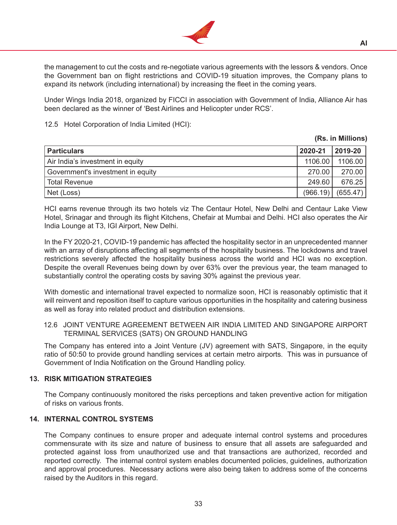

the management to cut the costs and re-negotiate various agreements with the lessors & vendors. Once the Government ban on flight restrictions and COVID-19 situation improves, the Company plans to expand its network (including international) by increasing the fleet in the coming years.

 Under Wings India 2018, organized by FICCI in association with Government of India, Alliance Air has been declared as the winner of 'Best Airlines and Helicopter under RCS'.

### 12.5 Hotel Corporation of India Limited (HCI):

#### **(Rs. in Millions)**

| <b>Particulars</b>                | 2020-21  | 2019-20  |
|-----------------------------------|----------|----------|
| Air India's investment in equity  | 1106.00  | 1106.00  |
| Government's investment in equity | 270.00   | 270.00   |
| Total Revenue                     | 249.60   | 676.25   |
| Net (Loss)                        | (966.19) | (655.47) |

 HCI earns revenue through its two hotels viz The Centaur Hotel, New Delhi and Centaur Lake View Hotel, Srinagar and through its flight Kitchens, Chefair at Mumbai and Delhi. HCI also operates the Air India Lounge at T3, IGI Airport, New Delhi.

 In the FY 2020-21, COVID-19 pandemic has affected the hospitality sector in an unprecedented manner with an array of disruptions affecting all segments of the hospitality business. The lockdowns and travel restrictions severely affected the hospitality business across the world and HCI was no exception. Despite the overall Revenues being down by over 63% over the previous year, the team managed to substantially control the operating costs by saving 30% against the previous year.

 With domestic and international travel expected to normalize soon, HCI is reasonably optimistic that it will reinvent and reposition itself to capture various opportunities in the hospitality and catering business as well as foray into related product and distribution extensions.

12.6 JOINT VENTURE AGREEMENT BETWEEN AIR INDIA LIMITED AND SINGAPORE AIRPORT TERMINAL SERVICES (SATS) ON GROUND HANDLING

 The Company has entered into a Joint Venture (JV) agreement with SATS, Singapore, in the equity ratio of 50:50 to provide ground handling services at certain metro airports. This was in pursuance of Government of India Notification on the Ground Handling policy.

## **13. RISK MITIGATION STRATEGIES**

The Company continuously monitored the risks perceptions and taken preventive action for mitigation of risks on various fronts.

## **14. INTERNAL CONTROL SYSTEMS**

The Company continues to ensure proper and adequate internal control systems and procedures commensurate with its size and nature of business to ensure that all assets are safeguarded and protected against loss from unauthorized use and that transactions are authorized, recorded and reported correctly. The internal control system enables documented policies, guidelines, authorization and approval procedures. Necessary actions were also being taken to address some of the concerns raised by the Auditors in this regard.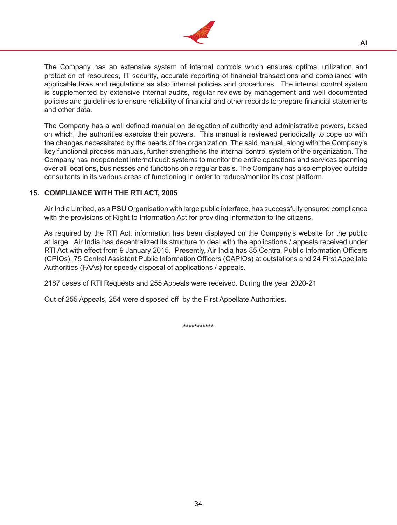

The Company has an extensive system of internal controls which ensures optimal utilization and protection of resources, IT security, accurate reporting of financial transactions and compliance with applicable laws and regulations as also internal policies and procedures. The internal control system is supplemented by extensive internal audits, regular reviews by management and well documented policies and guidelines to ensure reliability of financial and other records to prepare financial statements and other data.

 The Company has a well defined manual on delegation of authority and administrative powers, based on which, the authorities exercise their powers. This manual is reviewed periodically to cope up with the changes necessitated by the needs of the organization. The said manual, along with the Company's key functional process manuals, further strengthens the internal control system of the organization. The Company has independent internal audit systems to monitor the entire operations and services spanning over all locations, businesses and functions on a regular basis. The Company has also employed outside consultants in its various areas of functioning in order to reduce/monitor its cost platform.

## **15. COMPLIANCE WITH THE RTI ACT, 2005**

Air India Limited, as a PSU Organisation with large public interface, has successfully ensured compliance with the provisions of Right to Information Act for providing information to the citizens.

 As required by the RTI Act, information has been displayed on the Company's website for the public at large. Air India has decentralized its structure to deal with the applications / appeals received under RTI Act with effect from 9 January 2015. Presently, Air India has 85 Central Public Information Officers (CPIOs), 75 Central Assistant Public Information Officers (CAPIOs) at outstations and 24 First Appellate Authorities (FAAs) for speedy disposal of applications / appeals.

2187 cases of RTI Requests and 255 Appeals were received. During the year 2020-21

 Out of 255 Appeals, 254 were disposed off by the First Appellate Authorities.

\*\*\*\*\*\*\*\*\*\*\*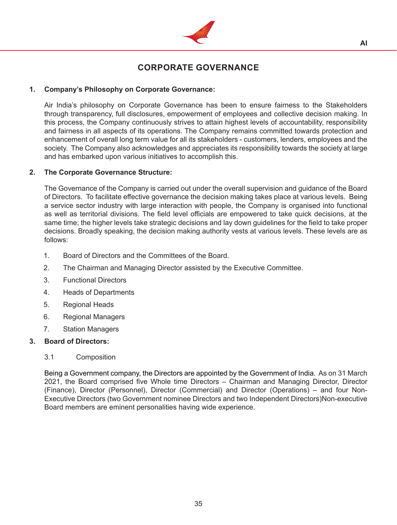

# **CORPORATE GOVERNANCE**

## **1. Company's Philosophy on Corporate Governance:**

Air India's philosophy on Corporate Governance has been to ensure fairness to the Stakeholders through transparency, full disclosures, empowerment of employees and collective decision making. In this process, the Company continuously strives to attain highest levels of accountability, responsibility and fairness in all aspects of its operations. The Company remains committed towards protection and enhancement of overall long term value for all its stakeholders - customers, lenders, employees and the society. The Company also acknowledges and appreciates its responsibility towards the society at large and has embarked upon various initiatives to accomplish this.

#### **2. The Corporate Governance Structure:**

The Governance of the Company is carried out under the overall supervision and guidance of the Board of Directors. To facilitate effective governance the decision making takes place at various levels. Being a service sector industry with large interaction with people, the Company is organised into functional as well as territorial divisions. The field level officials are empowered to take quick decisions, at the same time; the higher levels take strategic decisions and lay down guidelines for the field to take proper decisions. Broadly speaking, the decision making authority vests at various levels. These levels are as follows:

- 1. Board of Directors and the Committees of the Board.
- 2. The Chairman and Managing Director assisted by the Executive Committee.
- 3. Functional Directors
- 4. Heads of Departments
- 5. Regional Heads
- 6. Regional Managers
- 7. Station Managers

#### **3. Board of Directors:**

#### 3.1 Composition

Being a Government company, the Directors are appointed by the Government of India. As on 31 March 2021, the Board comprised five Whole time Directors – Chairman and Managing Director, Director (Finance), Director (Personnel), Director (Commercial) and Director (Operations) – and four Non-Executive Directors (two Government nominee Directors and two Independent Directors)Non-executive Board members are eminent personalities having wide experience.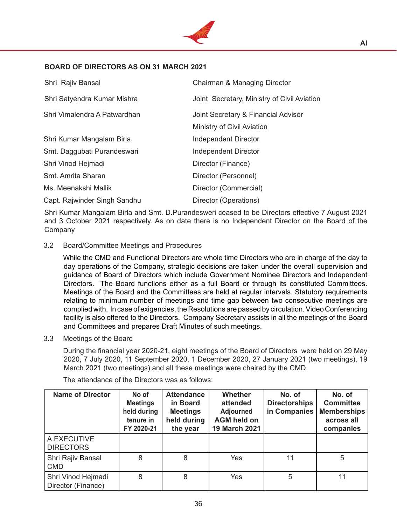

## **BOARD OF DIRECTORS AS ON 31 MARCH 2021**

| Shri Rajiv Bansal            | Chairman & Managing Director                |
|------------------------------|---------------------------------------------|
| Shri Satyendra Kumar Mishra  | Joint Secretary, Ministry of Civil Aviation |
| Shri Vimalendra A Patwardhan | Joint Secretary & Financial Advisor         |
|                              | Ministry of Civil Aviation                  |
| Shri Kumar Mangalam Birla    | Independent Director                        |
| Smt. Daggubati Purandeswari  | Independent Director                        |
| Shri Vinod Hejmadi           | Director (Finance)                          |
| Smt. Amrita Sharan           | Director (Personnel)                        |
| Ms. Meenakshi Mallik         | Director (Commercial)                       |
| Capt. Rajwinder Singh Sandhu | Director (Operations)                       |

 Shri Kumar Mangalam Birla and Smt. D.Purandesweri ceased to be Directors effective 7 August 2021 and 3 October 2021 respectively. As on date there is no Independent Director on the Board of the Company

## 3.2 Board/Committee Meetings and Procedures

While the CMD and Functional Directors are whole time Directors who are in charge of the day to day operations of the Company, strategic decisions are taken under the overall supervision and guidance of Board of Directors which include Government Nominee Directors and Independent Directors. The Board functions either as a full Board or through its constituted Committees. Meetings of the Board and the Committees are held at regular intervals. Statutory requirements relating to minimum number of meetings and time gap between two consecutive meetings are complied with. In case of exigencies, the Resolutions are passed by circulation.Video Conferencing facility is also offered to the Directors. Company Secretary assists in all the meetings of the Board and Committees and prepares Draft Minutes of such meetings.

#### 3.3 Meetings of the Board

 During the financial year 2020-21, eight meetings of the Board of Directors were held on 29 May 2020, 7 July 2020, 11 September 2020, 1 December 2020, 27 January 2021 (two meetings), 19 March 2021 (two meetings) and all these meetings were chaired by the CMD.

| <b>Name of Director</b>                  | No of<br><b>Meetings</b><br>held during<br>tenure in<br>FY 2020-21 | <b>Attendance</b><br>in Board<br><b>Meetings</b><br>held during<br>the year | <b>Whether</b><br>attended<br><b>Adjourned</b><br><b>AGM held on</b><br>19 March 2021 | No. of<br><b>Directorships</b><br>in Companies | No. of<br><b>Committee</b><br><b>Memberships</b><br>across all<br>companies |
|------------------------------------------|--------------------------------------------------------------------|-----------------------------------------------------------------------------|---------------------------------------------------------------------------------------|------------------------------------------------|-----------------------------------------------------------------------------|
| A.EXECUTIVE<br><b>DIRECTORS</b>          |                                                                    |                                                                             |                                                                                       |                                                |                                                                             |
| Shri Rajiv Bansal<br><b>CMD</b>          | 8                                                                  | 8                                                                           | Yes                                                                                   | 11                                             | 5                                                                           |
| Shri Vinod Hejmadi<br>Director (Finance) | 8                                                                  | 8                                                                           | Yes                                                                                   | 5                                              | 11                                                                          |

The attendance of the Directors was as follows: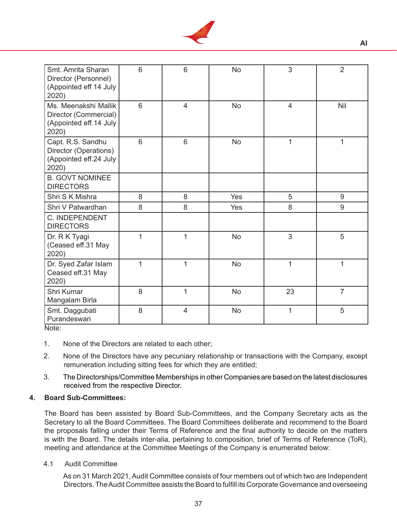

| Smt. Amrita Sharan<br>Director (Personnel)<br>(Appointed eff 14 July<br>2020)    | 6 | 6              | <b>No</b> | 3              | $\overline{2}$ |
|----------------------------------------------------------------------------------|---|----------------|-----------|----------------|----------------|
| Ms. Meenakshi Mallik<br>Director (Commercial)<br>(Appointed eff.14 July<br>2020) | 6 | $\overline{4}$ | <b>No</b> | $\overline{4}$ | Nil            |
| Capt. R.S. Sandhu<br>Director (Operations)<br>(Appointed eff.24 July<br>2020)    | 6 | 6              | <b>No</b> | $\overline{1}$ | 1              |
| <b>B. GOVT NOMINEE</b><br><b>DIRECTORS</b>                                       |   |                |           |                |                |
| Shri S K Mishra                                                                  | 8 | 8              | Yes       | 5              | 9              |
| Shri V Patwardhan                                                                | 8 | 8              | Yes       | 8              | 9              |
| C. INDEPENDENT<br><b>DIRECTORS</b>                                               |   |                |           |                |                |
| Dr. R K Tyagi<br>(Ceased eff.31 May<br>2020)                                     | 1 | $\mathbf{1}$   | <b>No</b> | 3              | 5              |
| Dr. Syed Zafar Islam<br>Ceased eff.31 May<br>2020)                               | 1 | $\mathbf{1}$   | <b>No</b> | $\mathbf{1}$   | 1              |
| Shri Kumar<br>Mangalam Birla                                                     | 8 | $\mathbf{1}$   | <b>No</b> | 23             | $\overline{7}$ |
| Smt. Daggubati<br>Purandeswari                                                   | 8 | $\overline{4}$ | <b>No</b> | $\overline{1}$ | 5              |

- Note:
- 1. None of the Directors are related to each other;
- 2. None of the Directors have any pecuniary relationship or transactions with the Company, except remuneration including sitting fees for which they are entitled;
- 3. The Directorships/Committee Memberships in other Companies are based on the latest disclosures received from the respective Director.

#### **4. Board Sub-Committees:**

The Board has been assisted by Board Sub-Committees, and the Company Secretary acts as the Secretary to all the Board Committees. The Board Committees deliberate and recommend to the Board the proposals falling under their Terms of Reference and the final authority to decide on the matters is with the Board. The details inter-alia, pertaining to composition, brief of Terms of Reference (ToR), meeting and attendance at the Committee Meetings of the Company is enumerated below:

## 4.1 Audit Committee

As on 31 March 2021, Audit Committee consists of four members out of which two are Independent Directors. The Audit Committee assists the Board to fulfill its Corporate Governance and overseeing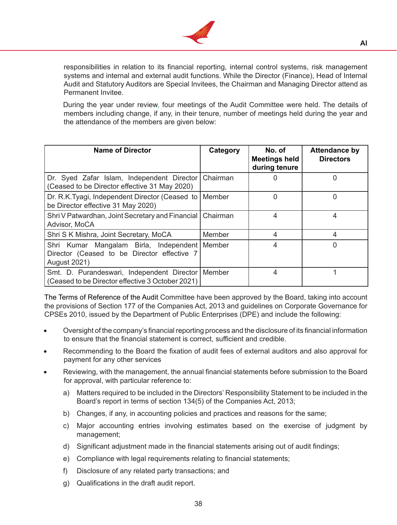

responsibilities in relation to its financial reporting, internal control systems, risk management systems and internal and external audit functions. While the Director (Finance), Head of Internal Audit and Statutory Auditors are Special Invitees, the Chairman and Managing Director attend as Permanent Invitee.

During the year under review, four meetings of the Audit Committee were held. The details of members including change, if any, in their tenure, number of meetings held during the year and the attendance of the members are given below:

| <b>Name of Director</b>                                                                                               | Category | No. of<br><b>Meetings held</b><br>during tenure | <b>Attendance by</b><br><b>Directors</b> |
|-----------------------------------------------------------------------------------------------------------------------|----------|-------------------------------------------------|------------------------------------------|
| Dr. Syed Zafar Islam, Independent Director<br>(Ceased to be Director effective 31 May 2020)                           | Chairman |                                                 |                                          |
| Dr. R.K.Tyagi, Independent Director (Ceased to   Member<br>be Director effective 31 May 2020)                         |          | 0                                               |                                          |
| Shri V Patwardhan, Joint Secretary and Financial   Chairman<br>Advisor, MoCA                                          |          | 4                                               | 4                                        |
| Shri S K Mishra, Joint Secretary, MoCA                                                                                | Member   | 4                                               | 4                                        |
| Shri Kumar Mangalam Birla, Independent   Member<br>Director (Ceased to be Director effective 7<br><b>August 2021)</b> |          |                                                 |                                          |
| Smt. D. Purandeswari, Independent Director   Member<br>(Ceased to be Director effective 3 October 2021)               |          | 4                                               |                                          |

The Terms of Reference of the Audit Committee have been approved by the Board, taking into account the provisions of Section 177 of the Companies Act, 2013 and guidelines on Corporate Governance for CPSEs 2010, issued by the Department of Public Enterprises (DPE) and include the following:

- Oversight of the company's financial reporting process and the disclosure of its financial information to ensure that the financial statement is correct, sufficient and credible.
- Recommending to the Board the fixation of audit fees of external auditors and also approval for payment for any other services
- Reviewing, with the management, the annual financial statements before submission to the Board for approval, with particular reference to:
	- a) Matters required to be included in the Directors' Responsibility Statement to be included in the Board's report in terms of section 134(5) of the Companies Act, 2013;
	- b) Changes, if any, in accounting policies and practices and reasons for the same;
	- c) Major accounting entries involving estimates based on the exercise of judgment by management;
	- d) Significant adjustment made in the financial statements arising out of audit findings;
	- e) Compliance with legal requirements relating to financial statements;
	- f) Disclosure of any related party transactions; and
	- g) Qualifications in the draft audit report.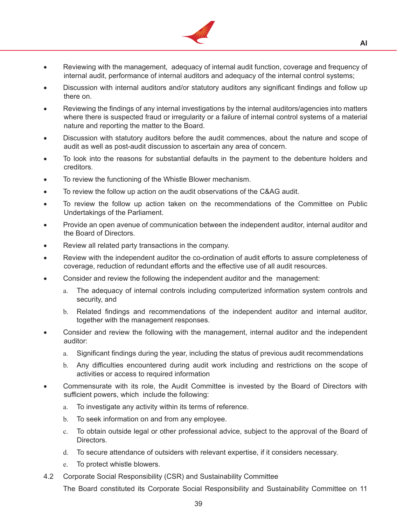

- Reviewing with the management, adequacy of internal audit function, coverage and frequency of internal audit, performance of internal auditors and adequacy of the internal control systems;
- Discussion with internal auditors and/or statutory auditors any significant findings and follow up there on.
- Reviewing the findings of any internal investigations by the internal auditors/agencies into matters where there is suspected fraud or irregularity or a failure of internal control systems of a material nature and reporting the matter to the Board.
- Discussion with statutory auditors before the audit commences, about the nature and scope of audit as well as post-audit discussion to ascertain any area of concern.
- To look into the reasons for substantial defaults in the payment to the debenture holders and creditors.
- To review the functioning of the Whistle Blower mechanism.
- To review the follow up action on the audit observations of the C&AG audit.
- To review the follow up action taken on the recommendations of the Committee on Public Undertakings of the Parliament.
- Provide an open avenue of communication between the independent auditor, internal auditor and the Board of Directors.
- Review all related party transactions in the company.
- Review with the independent auditor the co-ordination of audit efforts to assure completeness of coverage, reduction of redundant efforts and the effective use of all audit resources.
- Consider and review the following the independent auditor and the management:
	- a. The adequacy of internal controls including computerized information system controls and security, and
	- b. Related findings and recommendations of the independent auditor and internal auditor, together with the management responses.
- Consider and review the following with the management, internal auditor and the independent auditor:
	- a. Significant findings during the year, including the status of previous audit recommendations
	- b. Any difficulties encountered during audit work including and restrictions on the scope of activities or access to required information
- Commensurate with its role, the Audit Committee is invested by the Board of Directors with sufficient powers, which include the following:
	- a. To investigate any activity within its terms of reference.
	- b. To seek information on and from any employee.
	- c. To obtain outside legal or other professional advice, subject to the approval of the Board of Directors.
	- d. To secure attendance of outsiders with relevant expertise, if it considers necessary.
	- e. To protect whistle blowers.
- 4.2 Corporate Social Responsibility (CSR) and Sustainability Committee

 The Board constituted its Corporate Social Responsibility and Sustainability Committee on 11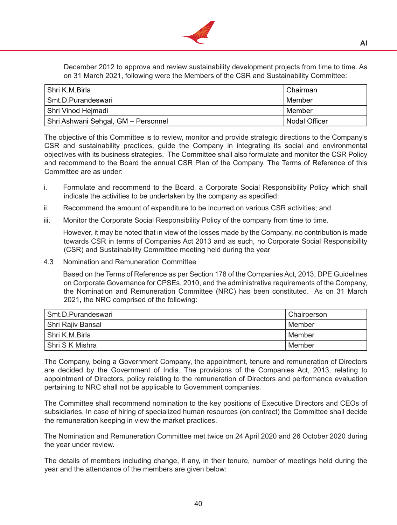

December 2012 to approve and review sustainability development projects from time to time. As on 31 March 2021, following were the Members of the CSR and Sustainability Committee:

| Shri K.M.Birla                      | l Chairman      |
|-------------------------------------|-----------------|
| Smt.D.Purandeswari                  | l Member        |
| Shri Vinod Hejmadi                  | l Member        |
| Shri Ashwani Sehgal, GM – Personnel | l Nodal Officer |

 The objective of this Committee is to review, monitor and provide strategic directions to the Company's CSR and sustainability practices, guide the Company in integrating its social and environmental objectives with its business strategies. The Committee shall also formulate and monitor the CSR Policy and recommend to the Board the annual CSR Plan of the Company. The Terms of Reference of this Committee are as under:

- i. Formulate and recommend to the Board, a Corporate Social Responsibility Policy which shall indicate the activities to be undertaken by the company as specified;
- ii. Recommend the amount of expenditure to be incurred on various CSR activities; and
- iii. Monitor the Corporate Social Responsibility Policy of the company from time to time.

 However, it may be noted that in view of the losses made by the Company, no contribution is made towards CSR in terms of Companies Act 2013 and as such, no Corporate Social Responsibility (CSR) and Sustainability Committee meeting held during the year

4.3 Nomination and Remuneration Committee

Based on the Terms of Reference as per Section 178 of the Companies Act, 2013, DPE Guidelines on Corporate Governance for CPSEs, 2010, and the administrative requirements of the Company, the Nomination and Remuneration Committee (NRC) has been constituted. As on 31 March 2021**,** the NRC comprised of the following:

| l Smt.D.Purandeswari | Chairperson |
|----------------------|-------------|
| Shri Rajiv Bansal    | l Member    |
| l Shri K.M.Birla     | l Member    |
| l Shri S K Mishra    | l Member    |

 The Company, being a Government Company, the appointment, tenure and remuneration of Directors are decided by the Government of India. The provisions of the Companies Act, 2013, relating to appointment of Directors, policy relating to the remuneration of Directors and performance evaluation pertaining to NRC shall not be applicable to Government companies.

The Committee shall recommend nomination to the key positions of Executive Directors and CEOs of subsidiaries. In case of hiring of specialized human resources (on contract) the Committee shall decide the remuneration keeping in view the market practices.

 The Nomination and Remuneration Committee met twice on 24 April 2020 and 26 October 2020 during the year under review.

 The details of members including change, if any, in their tenure, number of meetings held during the year and the attendance of the members are given below: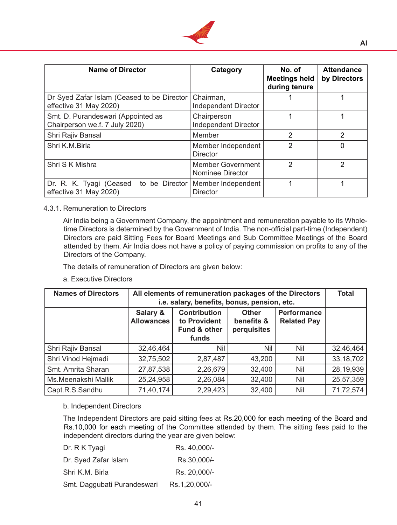

| <b>Name of Director</b>                                              | Category                                     | No. of<br><b>Meetings held</b><br>during tenure | <b>Attendance</b><br>by Directors |
|----------------------------------------------------------------------|----------------------------------------------|-------------------------------------------------|-----------------------------------|
| Dr Syed Zafar Islam (Ceased to be Director<br>effective 31 May 2020) | Chairman,<br><b>Independent Director</b>     |                                                 |                                   |
| Smt. D. Purandeswari (Appointed as<br>Chairperson we.f. 7 July 2020) | Chairperson<br><b>Independent Director</b>   |                                                 |                                   |
| Shri Rajiv Bansal                                                    | Member                                       | 2                                               | 2                                 |
| Shri K.M.Birla                                                       | Member Independent<br><b>Director</b>        | 2                                               |                                   |
| Shri S K Mishra                                                      | <b>Member Government</b><br>Nominee Director | 2                                               | 2                                 |
| Dr. R. K. Tyagi (Ceased<br>to be Director<br>effective 31 May 2020)  | Member Independent<br><b>Director</b>        |                                                 |                                   |

#### 4.3.1. Remuneration to Directors

 Air India being a Government Company, the appointment and remuneration payable to its Wholetime Directors is determined by the Government of India. The non-official part-time (Independent) Directors are paid Sitting Fees for Board Meetings and Sub Committee Meetings of the Board attended by them. Air India does not have a policy of paying commission on profits to any of the Directors of the Company.

 The details of remuneration of Directors are given below:

## a. Executive Directors

| <b>Names of Directors</b> |                               | All elements of remuneration packages of the Directors<br>i.e. salary, benefits, bonus, pension, etc. |                                           |                                          |             |  |  |  |
|---------------------------|-------------------------------|-------------------------------------------------------------------------------------------------------|-------------------------------------------|------------------------------------------|-------------|--|--|--|
|                           | Salary &<br><b>Allowances</b> | <b>Contribution</b><br>to Provident<br>Fund & other<br>funds                                          | <b>Other</b><br>benefits &<br>perquisites | <b>Performance</b><br><b>Related Pay</b> |             |  |  |  |
| Shri Rajiv Bansal         | 32,46,464                     | Nil                                                                                                   | Nil                                       | Nil                                      | 32,46,464   |  |  |  |
| Shri Vinod Hejmadi        | 32,75,502                     | 2,87,487                                                                                              | 43,200                                    | <b>Nil</b>                               | 33, 18, 702 |  |  |  |
| Smt. Amrita Sharan        | 27,87,538                     | 2,26,679                                                                                              | 32,400                                    | <b>Nil</b>                               | 28,19,939   |  |  |  |
| Ms.Meenakshi Mallik       | 25,24,958                     | 2,26,084                                                                                              | 32,400                                    | Nil                                      | 25,57,359   |  |  |  |
| Capt.R.S.Sandhu           | 71,40,174                     | 2,29,423                                                                                              | 32,400                                    | <b>Nil</b>                               | 71,72,574   |  |  |  |

#### b. Independent Directors

The Independent Directors are paid sitting fees at Rs.20,000 for each meeting of the Board and Rs.10,000 for each meeting of the Committee attended by them. The sitting fees paid to the independent directors during the year are given below:

| Dr. R K Tyagi               | Rs. 40,000/-           |
|-----------------------------|------------------------|
| Dr. Syed Zafar Islam        | Rs.30,000 <sup>+</sup> |
| Shri K.M. Birla             | Rs. 20,000/-           |
| Smt. Daggubati Purandeswari | Rs.1,20,000/-          |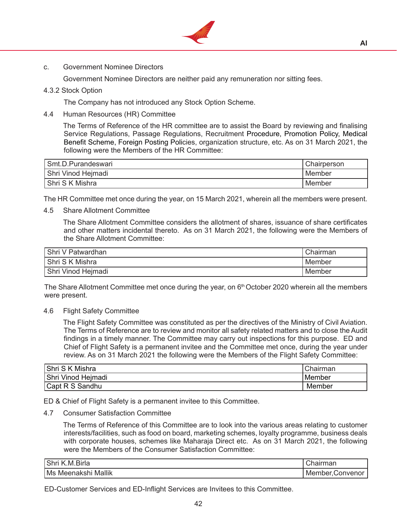

c. Government Nominee Directors

Government Nominee Directors are neither paid any remuneration nor sitting fees.

4.3.2 Stock Option

The Company has not introduced any Stock Option Scheme.

4.4 Human Resources (HR) Committee

 The Terms of Reference of the HR committee are to assist the Board by reviewing and finalising Service Regulations, Passage Regulations, Recruitment Procedure, Promotion Policy, Medical Benefit Scheme, Foreign Posting Policies, organization structure, etc. As on 31 March 2021, the following were the Members of the HR Committee:

| Smt.D.Purandeswari | Chairperson |
|--------------------|-------------|
| Shri Vinod Heimadi | Member      |
| Shri S K Mishra    | Member      |

The HR Committee met once during the year, on 15 March 2021, wherein all the members were present.

4.5 Share Allotment Committee

 The Share Allotment Committee considers the allotment of shares, issuance of share certificates and other matters incidental thereto. As on 31 March 2021, the following were the Members of the Share Allotment Committee:

| Shri V Patwardhan  | Chairman |
|--------------------|----------|
| Shri S K Mishra    | Member   |
| Shri Vinod Hejmadi | Member   |

The Share Allotment Committee met once during the year, on  $6<sup>th</sup>$  October 2020 wherein all the members were present.

4.6 Flight Safety Committee

The Flight Safety Committee was constituted as per the directives of the Ministry of Civil Aviation. The Terms of Reference are to review and monitor all safety related matters and to close the Audit findings in a timely manner. The Committee may carry out inspections for this purpose. ED and Chief of Flight Safety is a permanent invitee and the Committee met once, during the year under review. As on 31 March 2021 the following were the Members of the Flight Safety Committee:

| <b>Shri S K Mishra</b> | Chairman      |
|------------------------|---------------|
| Shri Vinod Heimadi     | <b>Member</b> |
| Capt R S Sandhu        | Member        |

ED & Chief of Flight Safety is a permanent invitee to this Committee.

4.7 Consumer Satisfaction Committee

The Terms of Reference of this Committee are to look into the various areas relating to customer interests/facilities, such as food on board, marketing schemes, loyalty programme, business deals with corporate houses, schemes like Maharaja Direct etc. As on 31 March 2021, the following were the Members of the Consumer Satisfaction Committee:

| Shr<br>Bırla<br>IV.             | $\sim$<br>$1$ rm $\alpha$ n<br>нан<br>UNIAII |
|---------------------------------|----------------------------------------------|
| <br>Ms<br>Mallık<br>Meer<br>าลห | uer.<br>Me<br>onve                           |

 ED-Customer Services and ED-Inflight Services are Invitees to this Committee.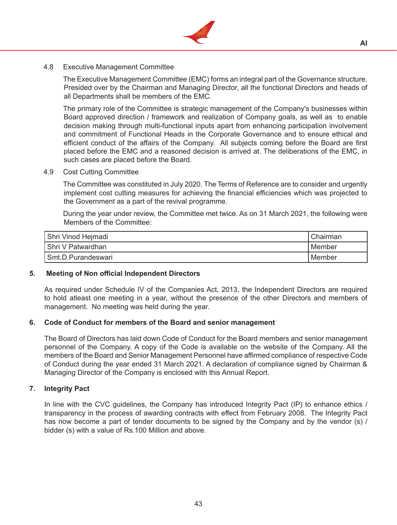

## 4.8 Executive Management Committee

The Executive Management Committee (EMC) forms an integral part of the Governance structure. Presided over by the Chairman and Managing Director, all the functional Directors and heads of all Departments shall be members of the EMC.

 The primary role of the Committee is strategic management of the Company's businesses within Board approved direction / framework and realization of Company goals, as well as to enable decision making through multi-functional inputs apart from enhancing participation involvement and commitment of Functional Heads in the Corporate Governance and to ensure ethical and efficient conduct of the affairs of the Company. All subjects coming before the Board are first placed before the EMC and a reasoned decision is arrived at. The deliberations of the EMC, in such cases are placed before the Board.

4.9 Cost Cutting Committee

The Committee was constituted in July 2020. The Terms of Reference are to consider and urgently implement cost cutting measures for achieving the financial efficiencies which was projected to the Government as a part of the revival programme.

 During the year under review, the Committee met twice. As on 31 March 2021, the following were Members of the Committee:

| Shri Vinod Hejmadi | Chairman |
|--------------------|----------|
| Shri V Patwardhan  | Member   |
| Smt.D.Purandeswari | Member   |

#### **5. Meeting of Non official Independent Directors**

As required under Schedule IV of the Companies Act, 2013, the Independent Directors are required to hold atleast one meeting in a year, without the presence of the other Directors and members of management. No meeting was held during the year.

#### **6. Code of Conduct for members of the Board and senior management**

The Board of Directors has laid down Code of Conduct for the Board members and senior management personnel of the Company. A copy of the Code is available on the website of the Company. All the members of the Board and Senior Management Personnel have affirmed compliance of respective Code of Conduct during the year ended 31 March 2021. A declaration of compliance signed by Chairman & Managing Director of the Company is enclosed with this Annual Report.

#### **7. Integrity Pact**

In line with the CVC guidelines, the Company has introduced Integrity Pact (IP) to enhance ethics / transparency in the process of awarding contracts with effect from February 2008. The Integrity Pact has now become a part of tender documents to be signed by the Company and by the vendor (s) / bidder (s) with a value of Rs.100 Million and above.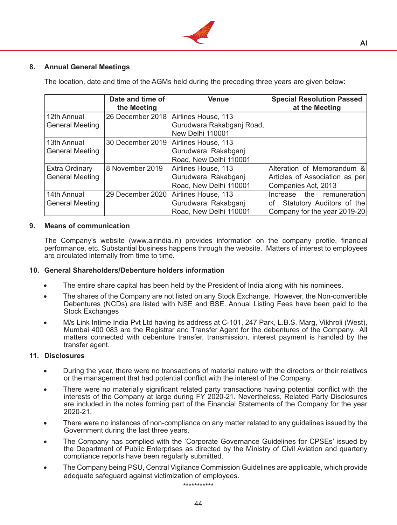

## **8. Annual General Meetings**

The location, date and time of the AGMs held during the preceding three years are given below:

|                                                 | Date and time of<br>the Meeting | <b>Venue</b>                                                                            | <b>Special Resolution Passed</b><br>at the Meeting                                           |
|-------------------------------------------------|---------------------------------|-----------------------------------------------------------------------------------------|----------------------------------------------------------------------------------------------|
| 12th Annual<br><b>General Meeting</b>           |                                 | 26 December 2018   Airlines House, 113<br>Gurudwara Rakabganj Road,<br>New Delhi 110001 |                                                                                              |
| 13th Annual<br><b>General Meeting</b>           |                                 | 30 December 2019   Airlines House, 113<br>Gurudwara Rakabganj<br>Road, New Delhi 110001 |                                                                                              |
| <b>Extra Ordinary</b><br><b>General Meeting</b> | 8 November 2019                 | Airlines House, 113<br>Gurudwara Rakabgani<br>Road, New Delhi 110001                    | Alteration of Memorandum &<br>Articles of Association as per<br>Companies Act, 2013          |
| 14th Annual<br><b>General Meeting</b>           |                                 | 29 December 2020   Airlines House, 113<br>Gurudwara Rakabganj<br>Road, New Delhi 110001 | Increase the remuneration<br>Statutory Auditors of the<br>of<br>Company for the year 2019-20 |

#### **9. Means of communication**

The Company's website (www.airindia.in) provides information on the company profile, financial performance, etc. Substantial business happens through the website. Matters of interest to employees are circulated internally from time to time.

#### **10. General Shareholders/Debenture holders information**

- The entire share capital has been held by the President of India along with his nominees.
- The shares of the Company are not listed on any Stock Exchange. However, the Non-convertible Debentures (NCDs) are listed with NSE and BSE. Annual Listing Fees have been paid to the Stock Exchanges
- M/s Link Intime India Pvt Ltd having its address at C-101, 247 Park, L.B.S. Marg, Vikhroli (West), Mumbai 400 083 are the Registrar and Transfer Agent for the debentures of the Company. All matters connected with debenture transfer, transmission, interest payment is handled by the transfer agent.

#### **11. Disclosures**

- During the year, there were no transactions of material nature with the directors or their relatives or the management that had potential conflict with the interest of the Company.
- There were no materially significant related party transactions having potential conflict with the interests of the Company at large during FY 2020-21. Nevertheless, Related Party Disclosures are included in the notes forming part of the Financial Statements of the Company for the year 2020-21.
- There were no instances of non-compliance on any matter related to any guidelines issued by the Government during the last three years.
- The Company has complied with the 'Corporate Governance Guidelines for CPSEs' issued by the Department of Public Enterprises as directed by the Ministry of Civil Aviation and quarterly compliance reports have been regularly submitted.
- The Company being PSU, Central Vigilance Commission Guidelines are applicable, which provide adequate safeguard against victimization of employees.

\*\*\*\*\*\*\*\*\*\*\*

**AI**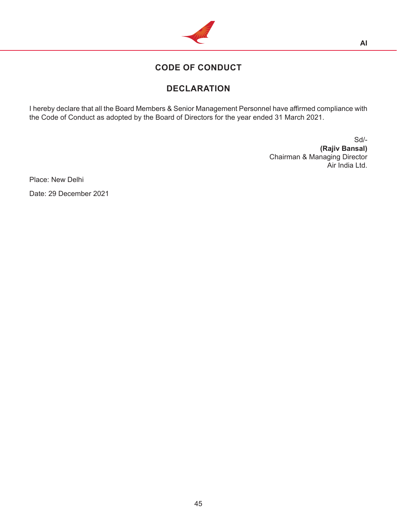

# **CODE OF CONDUCT**

# **DECLARATION**

I hereby declare that all the Board Members & Senior Management Personnel have affirmed compliance with the Code of Conduct as adopted by the Board of Directors for the year ended 31 March 2021.

> Sd/- **(Rajiv Bansal)** Chairman & Managing Director Air India Ltd.

Place: New Delhi Date: 29 December 2021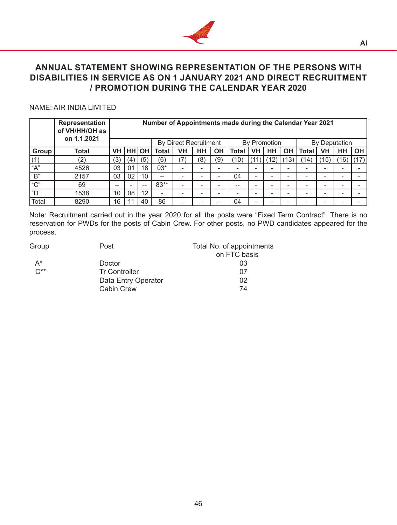

## **ANNUAL STATEMENT SHOWING REPRESENTATION OF THE PERSONS WITH DISABILITIES IN SERVICE AS ON 1 JANUARY 2021 AND DIRECT RECRUITMENT / PROMOTION DURING THE CALENDAR YEAR 2020**

### NAME: AIR INDIA LIMITED

|                | Representation<br>of VH/HH/OH as |     | Number of Appointments made during the Calendar Year 2021 |       |              |    |                           |           |       |                          |              |           |              |     |               |           |
|----------------|----------------------------------|-----|-----------------------------------------------------------|-------|--------------|----|---------------------------|-----------|-------|--------------------------|--------------|-----------|--------------|-----|---------------|-----------|
|                | on 1.1.2021                      |     | Bv                                                        |       |              |    | <b>Direct Recruitment</b> |           |       |                          | By Promotion |           |              |     | By Deputation |           |
| Group          | Total                            | VH  |                                                           | HH OH | <b>Total</b> | VH | HH                        | <b>OH</b> | Total | <b>VH</b>                | HH           | <b>OH</b> | <b>Total</b> | VH  | HН            | <b>OH</b> |
| (1)            | '2)                              | (3) | (4)                                                       | (5)   | (6)          |    | (8)                       | (9)       | 10)   |                          | 12           | 13)       | $ 14\rangle$ | 15) | (16)          |           |
| "A"            | 4526                             | 03  | 01                                                        | 18    | 03*          | -  | -                         | -         | -     | -                        |              |           |              |     |               |           |
| "B"            | 2157                             | 03  | 02                                                        | 10    | $-$          |    | -                         | -         | 04    | $\overline{\phantom{0}}$ | -            |           |              |     |               |           |
| $\mathfrak{m}$ | 69                               | --  |                                                           | --    | $83**$       |    |                           |           | --    | -                        |              |           |              |     |               |           |
| " $D$ "        | 1538                             | 10  | 08                                                        | 12    | -            |    |                           |           | -     | -                        |              |           |              |     |               |           |
| Total          | 8290                             | 16  |                                                           | 40    | 86           | -  |                           |           | 04    | -                        |              |           |              |     |               |           |

Note: Recruitment carried out in the year 2020 for all the posts were "Fixed Term Contract". There is no reservation for PWDs for the posts of Cabin Crew. For other posts, no PWD candidates appeared for the process.

| Group            | Post                 | Total No. of appointments |
|------------------|----------------------|---------------------------|
|                  |                      | on FTC basis              |
| $A^*$            | Doctor               | 03                        |
| $C^{\star\star}$ | <b>Tr Controller</b> | 07                        |
|                  | Data Entry Operator  | 02                        |
|                  | <b>Cabin Crew</b>    | 74                        |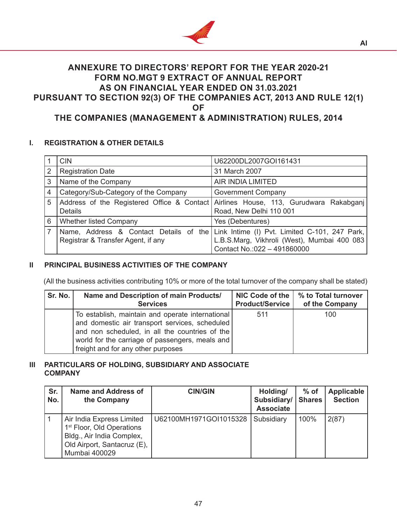

## **ANNEXURE TO DIRECTORS' REPORT FOR THE YEAR 2020-21 FORM NO.MGT 9 EXTRACT OF ANNUAL REPORT AS ON FINANCIAL YEAR ENDED ON 31.03.2021 PURSUANT TO SECTION 92(3) OF THE COMPANIES ACT, 2013 AND RULE 12(1) OF**

## **THE COMPANIES (MANAGEMENT & ADMINISTRATION) RULES, 2014**

## **I. REGISTRATION & OTHER DETAILS**

|                | <b>CIN</b>                           | U62200DL2007GOI161431                                                                |  |  |  |
|----------------|--------------------------------------|--------------------------------------------------------------------------------------|--|--|--|
| $\overline{2}$ | <b>Registration Date</b>             | 31 March 2007                                                                        |  |  |  |
| 3              | Name of the Company                  | <b>AIR INDIA LIMITED</b>                                                             |  |  |  |
| 4              | Category/Sub-Category of the Company | <b>Government Company</b>                                                            |  |  |  |
| 5              |                                      | Address of the Registered Office & Contact Airlines House, 113, Gurudwara Rakabganj  |  |  |  |
|                | <b>Details</b>                       | Road, New Delhi 110 001                                                              |  |  |  |
| 6              | <b>Whether listed Company</b>        | Yes (Debentures)                                                                     |  |  |  |
|                |                                      | Name, Address & Contact Details of the Link Intime (I) Pvt. Limited C-101, 247 Park, |  |  |  |
|                | Registrar & Transfer Agent, if any   | L.B.S.Marg, Vikhroli (West), Mumbai 400 083                                          |  |  |  |
|                |                                      | Contact No.: 022 - 491860000                                                         |  |  |  |

## **II PRINCIPAL BUSINESS ACTIVITIES OF THE COMPANY**

(All the business activities contributing 10% or more of the total turnover of the company shall be stated)

| Sr. No. | Name and Description of main Products/                                                                                                                                                                                                          | NIC Code of the | % to Total turnover |
|---------|-------------------------------------------------------------------------------------------------------------------------------------------------------------------------------------------------------------------------------------------------|-----------------|---------------------|
|         | <b>Services</b>                                                                                                                                                                                                                                 | Product/Service | of the Company      |
|         | To establish, maintain and operate international<br>and domestic air transport services, scheduled<br>and non scheduled, in all the countries of the<br>world for the carriage of passengers, meals and  <br>freight and for any other purposes | 511             | 100                 |

## **III PARTICULARS OF HOLDING, SUBSIDIARY AND ASSOCIATE COMPANY**

| Sr.<br>No. | <b>Name and Address of</b><br>the Company                                                                                                       | <b>CIN/GIN</b>         | Holding/<br>Subsidiary/<br><b>Associate</b> | $%$ of<br><b>Shares</b> | <b>Applicable</b><br><b>Section</b> |
|------------|-------------------------------------------------------------------------------------------------------------------------------------------------|------------------------|---------------------------------------------|-------------------------|-------------------------------------|
|            | Air India Express Limited<br>1 <sup>st</sup> Floor, Old Operations<br>Bldg., Air India Complex,<br>Old Airport, Santacruz (E),<br>Mumbai 400029 | U62100MH1971GOI1015328 | Subsidiary                                  | 100%                    | 2(87)                               |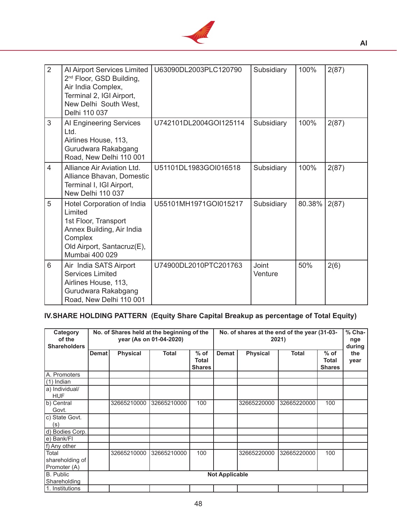

| 2              | Al Airport Services Limited<br>2 <sup>nd</sup> Floor, GSD Building,<br>Air India Complex,<br>Terminal 2, IGI Airport,<br>New Delhi South West,<br>Delhi 110 037 | U63090DL2003PLC120790  | Subsidiary       | 100%   | 2(87) |
|----------------|-----------------------------------------------------------------------------------------------------------------------------------------------------------------|------------------------|------------------|--------|-------|
| 3              | Al Engineering Services<br>Ltd.<br>Airlines House, 113,<br>Gurudwara Rakabgang<br>Road, New Delhi 110 001                                                       | U742101DL2004GOI125114 | Subsidiary       | 100%   | 2(87) |
| $\overline{4}$ | Alliance Air Aviation Ltd.<br>Alliance Bhavan, Domestic<br>Terminal I, IGI Airport,<br>New Delhi 110 037                                                        | U51101DL1983GOI016518  | Subsidiary       | 100%   | 2(87) |
| 5              | Hotel Corporation of India<br>Limited<br>1st Floor, Transport<br>Annex Building, Air India<br>Complex<br>Old Airport, Santacruz(E),<br>Mumbai 400 029           | U55101MH1971GOI015217  | Subsidiary       | 80.38% | 2(87) |
| 6              | Air India SATS Airport<br><b>Services Limited</b><br>Airlines House, 113,<br>Gurudwara Rakabgang<br>Road, New Delhi 110 001                                     | U74900DL2010PTC201763  | Joint<br>Venture | 50%    | 2(6)  |

# **IV.SHARE HOLDING PATTERN (Equity Share Capital Breakup as percentage of Total Equity)**

| Category<br>of the<br><b>Shareholders</b> | No. of Shares held at the beginning of the<br>No. of shares at the end of the year (31-03-<br>year (As on 01-04-2020)<br>2021) |                 |              |                                  |              |                 |              |                                  | $%$ Cha-<br>nge<br>during |
|-------------------------------------------|--------------------------------------------------------------------------------------------------------------------------------|-----------------|--------------|----------------------------------|--------------|-----------------|--------------|----------------------------------|---------------------------|
|                                           | <b>Demat</b>                                                                                                                   | <b>Physical</b> | <b>Total</b> | $%$ of<br>Total<br><b>Shares</b> | <b>Demat</b> | <b>Physical</b> | <b>Total</b> | $%$ of<br>Total<br><b>Shares</b> | the<br>year               |
| A. Promoters                              |                                                                                                                                |                 |              |                                  |              |                 |              |                                  |                           |
| $(1)$ Indian                              |                                                                                                                                |                 |              |                                  |              |                 |              |                                  |                           |
| a) Individual/<br><b>HUF</b>              |                                                                                                                                |                 |              |                                  |              |                 |              |                                  |                           |
| b) Central<br>Govt.                       |                                                                                                                                | 32665210000     | 32665210000  | 100                              |              | 32665220000     | 32665220000  | 100                              |                           |
| c) State Govt.<br>(s)                     |                                                                                                                                |                 |              |                                  |              |                 |              |                                  |                           |
| d) Bodies Corp.                           |                                                                                                                                |                 |              |                                  |              |                 |              |                                  |                           |
| e) Bank/FI                                |                                                                                                                                |                 |              |                                  |              |                 |              |                                  |                           |
| f) Any other                              |                                                                                                                                |                 |              |                                  |              |                 |              |                                  |                           |
| Total<br>shareholding of<br>Promoter (A)  |                                                                                                                                | 32665210000     | 32665210000  | 100                              |              | 32665220000     | 32665220000  | 100                              |                           |
| B. Public<br>Shareholding                 | <b>Not Applicable</b>                                                                                                          |                 |              |                                  |              |                 |              |                                  |                           |
| 1. Institutions                           |                                                                                                                                |                 |              |                                  |              |                 |              |                                  |                           |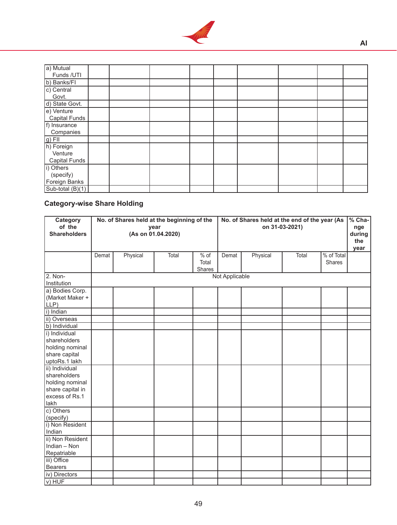

| a) Mutual            |  |  |  |  |  |
|----------------------|--|--|--|--|--|
| Funds /UTI           |  |  |  |  |  |
| b) Banks/FI          |  |  |  |  |  |
| c) Central           |  |  |  |  |  |
| Govt.                |  |  |  |  |  |
| d) State Govt.       |  |  |  |  |  |
| e) Venture           |  |  |  |  |  |
| <b>Capital Funds</b> |  |  |  |  |  |
| f) Insurance         |  |  |  |  |  |
| Companies            |  |  |  |  |  |
| g) FII<br>h) Foreign |  |  |  |  |  |
|                      |  |  |  |  |  |
| Venture              |  |  |  |  |  |
| <b>Capital Funds</b> |  |  |  |  |  |
| i) Others            |  |  |  |  |  |
| (specify)            |  |  |  |  |  |
| Foreign Banks        |  |  |  |  |  |
| Sub-total (B)(1)     |  |  |  |  |  |

# **Category-wise Share Holding**

| Category<br>of the<br><b>Shareholders</b>               |       | No. of Shares held at the beginning of the | year<br>(As on 01.04.2020) |                                  | No. of Shares held at the end of the year (As<br>on 31-03-2021) |          |       |                             | $%$ Cha-<br>nge<br>during<br>the<br>year |
|---------------------------------------------------------|-------|--------------------------------------------|----------------------------|----------------------------------|-----------------------------------------------------------------|----------|-------|-----------------------------|------------------------------------------|
|                                                         | Demat | Physical                                   | Total                      | $%$ of<br>Total<br><b>Shares</b> | Demat                                                           | Physical | Total | % of Total<br><b>Shares</b> |                                          |
| 2. Non-<br>Institution                                  |       |                                            |                            |                                  | Not Applicable                                                  |          |       |                             |                                          |
| a) Bodies Corp.<br>(Market Maker +<br>LLP)<br>i) Indian |       |                                            |                            |                                  |                                                                 |          |       |                             |                                          |
| ii) Overseas                                            |       |                                            |                            |                                  |                                                                 |          |       |                             |                                          |
| b) Individual                                           |       |                                            |                            |                                  |                                                                 |          |       |                             |                                          |
| i) Individual                                           |       |                                            |                            |                                  |                                                                 |          |       |                             |                                          |
| shareholders                                            |       |                                            |                            |                                  |                                                                 |          |       |                             |                                          |
| holding nominal                                         |       |                                            |                            |                                  |                                                                 |          |       |                             |                                          |
| share capital                                           |       |                                            |                            |                                  |                                                                 |          |       |                             |                                          |
| uptoRs.1 lakh                                           |       |                                            |                            |                                  |                                                                 |          |       |                             |                                          |
| ii) Individual                                          |       |                                            |                            |                                  |                                                                 |          |       |                             |                                          |
| shareholders                                            |       |                                            |                            |                                  |                                                                 |          |       |                             |                                          |
| holding nominal                                         |       |                                            |                            |                                  |                                                                 |          |       |                             |                                          |
| share capital in                                        |       |                                            |                            |                                  |                                                                 |          |       |                             |                                          |
| excess of Rs.1                                          |       |                                            |                            |                                  |                                                                 |          |       |                             |                                          |
| lakh                                                    |       |                                            |                            |                                  |                                                                 |          |       |                             |                                          |
| c) Others                                               |       |                                            |                            |                                  |                                                                 |          |       |                             |                                          |
| (specify)                                               |       |                                            |                            |                                  |                                                                 |          |       |                             |                                          |
| i) Non Resident                                         |       |                                            |                            |                                  |                                                                 |          |       |                             |                                          |
| Indian                                                  |       |                                            |                            |                                  |                                                                 |          |       |                             |                                          |
| ii) Non Resident                                        |       |                                            |                            |                                  |                                                                 |          |       |                             |                                          |
| Indian - Non                                            |       |                                            |                            |                                  |                                                                 |          |       |                             |                                          |
| Repatriable<br>iii) Office                              |       |                                            |                            |                                  |                                                                 |          |       |                             |                                          |
| <b>Bearers</b>                                          |       |                                            |                            |                                  |                                                                 |          |       |                             |                                          |
| iv) Directors                                           |       |                                            |                            |                                  |                                                                 |          |       |                             |                                          |
| v) HUF                                                  |       |                                            |                            |                                  |                                                                 |          |       |                             |                                          |
|                                                         |       |                                            |                            |                                  |                                                                 |          |       |                             |                                          |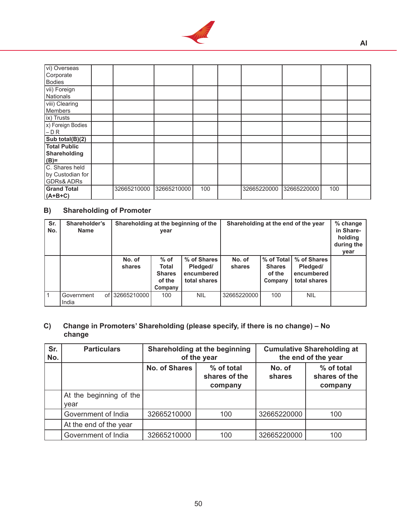

| vi) Overseas          |             |             |     |             |             |     |  |
|-----------------------|-------------|-------------|-----|-------------|-------------|-----|--|
| Corporate             |             |             |     |             |             |     |  |
| <b>Bodies</b>         |             |             |     |             |             |     |  |
| vii) Foreign          |             |             |     |             |             |     |  |
| Nationals             |             |             |     |             |             |     |  |
| viii) Clearing        |             |             |     |             |             |     |  |
| Members               |             |             |     |             |             |     |  |
| ix) Trusts            |             |             |     |             |             |     |  |
| (x) Foreign Bodies    |             |             |     |             |             |     |  |
| $-DR$                 |             |             |     |             |             |     |  |
| Sub total $(B)(2)$    |             |             |     |             |             |     |  |
| <b>Total Public</b>   |             |             |     |             |             |     |  |
| Shareholding          |             |             |     |             |             |     |  |
| $(B)=$                |             |             |     |             |             |     |  |
| C. Shares held        |             |             |     |             |             |     |  |
| by Custodian for      |             |             |     |             |             |     |  |
| <b>GDRs&amp; ADRs</b> |             |             |     |             |             |     |  |
| <b>Grand Total</b>    | 32665210000 | 32665210000 | 100 | 32665220000 | 32665220000 | 100 |  |
| $(A+B+C)$             |             |             |     |             |             |     |  |

## **B) Shareholding of Promoter**

| Sr.<br>No. | Shareholder's<br><b>Name</b> |                  | Shareholding at the beginning of the<br>year                 |                                                       | Shareholding at the end of the year |                                                  |                                                       | % change<br>in Share-<br>holding<br>during the<br>year |
|------------|------------------------------|------------------|--------------------------------------------------------------|-------------------------------------------------------|-------------------------------------|--------------------------------------------------|-------------------------------------------------------|--------------------------------------------------------|
|            |                              | No. of<br>shares | $%$ of<br><b>Total</b><br><b>Shares</b><br>of the<br>Company | % of Shares<br>Pledged/<br>encumbered<br>total shares | No. of<br>shares                    | % of Total<br><b>Shares</b><br>of the<br>Company | % of Shares<br>Pledged/<br>encumbered<br>total shares |                                                        |
|            | Government<br>οf<br>India    | l 32665210000 l  | 100                                                          | <b>NIL</b>                                            | 32665220000                         | 100                                              | <b>NIL</b>                                            |                                                        |

## **C) Change in Promoters' Shareholding (please specify, if there is no change) – No change**

| Sr.<br>No. | <b>Particulars</b>              |                      | Shareholding at the beginning<br>of the year | <b>Cumulative Shareholding at</b><br>the end of the year |                                        |  |
|------------|---------------------------------|----------------------|----------------------------------------------|----------------------------------------------------------|----------------------------------------|--|
|            |                                 | <b>No. of Shares</b> | % of total<br>shares of the<br>company       | No. of<br>shares                                         | % of total<br>shares of the<br>company |  |
|            | At the beginning of the<br>year |                      |                                              |                                                          |                                        |  |
|            | Government of India             | 32665210000          | 100                                          | 32665220000                                              | 100                                    |  |
|            | At the end of the year          |                      |                                              |                                                          |                                        |  |
|            | Government of India             | 32665210000          | 100                                          | 32665220000                                              | 100                                    |  |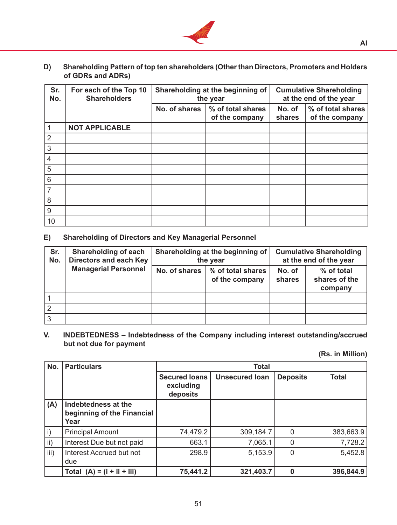

**D) Shareholding Pattern of top ten shareholders (Other than Directors, Promoters and Holders of GDRs and ADRs)**

| Sr.<br>No.     | For each of the Top 10<br><b>Shareholders</b> |               | Shareholding at the beginning of<br>the year | <b>Cumulative Shareholding</b><br>at the end of the year |                                     |  |
|----------------|-----------------------------------------------|---------------|----------------------------------------------|----------------------------------------------------------|-------------------------------------|--|
|                |                                               | No. of shares | % of total shares<br>of the company          | No. of<br>shares                                         | % of total shares<br>of the company |  |
| $\overline{1}$ | <b>NOT APPLICABLE</b>                         |               |                                              |                                                          |                                     |  |
| $\overline{2}$ |                                               |               |                                              |                                                          |                                     |  |
| $\mathbf{3}$   |                                               |               |                                              |                                                          |                                     |  |
| $\overline{4}$ |                                               |               |                                              |                                                          |                                     |  |
| 5              |                                               |               |                                              |                                                          |                                     |  |
| $\,$ 6 $\,$    |                                               |               |                                              |                                                          |                                     |  |
| $\overline{7}$ |                                               |               |                                              |                                                          |                                     |  |
| $\,8\,$        |                                               |               |                                              |                                                          |                                     |  |
| 9              |                                               |               |                                              |                                                          |                                     |  |
| 10             |                                               |               |                                              |                                                          |                                     |  |

**E) Shareholding of Directors and Key Managerial Personnel**

| Sr.<br>No. | Shareholding of each<br><b>Directors and each Key</b> |               | Shareholding at the beginning of<br>the year | <b>Cumulative Shareholding</b><br>at the end of the year |                                        |  |
|------------|-------------------------------------------------------|---------------|----------------------------------------------|----------------------------------------------------------|----------------------------------------|--|
|            | <b>Managerial Personnel</b>                           | No. of shares | % of total shares<br>of the company          | No. of<br>shares                                         | % of total<br>shares of the<br>company |  |
|            |                                                       |               |                                              |                                                          |                                        |  |
|            |                                                       |               |                                              |                                                          |                                        |  |
|            |                                                       |               |                                              |                                                          |                                        |  |

**V. INDEBTEDNESS – Indebtedness of the Company including interest outstanding/accrued but not due for payment**

**(Rs. in Million)**

| No.            | <b>Particulars</b>                                        | <b>Total</b>                                  |                       |                 |              |  |  |
|----------------|-----------------------------------------------------------|-----------------------------------------------|-----------------------|-----------------|--------------|--|--|
|                |                                                           | <b>Secured loans</b><br>excluding<br>deposits | <b>Unsecured loan</b> | <b>Deposits</b> | <b>Total</b> |  |  |
| (A)            | Indebtedness at the<br>beginning of the Financial<br>Year |                                               |                       |                 |              |  |  |
| $\mathsf{i}$ ) | <b>Principal Amount</b>                                   | 74,479.2                                      | 309,184.7             |                 | 383,663.9    |  |  |
| ii)            | Interest Due but not paid                                 | 663.1                                         | 7,065.1               |                 | 7,728.2      |  |  |
| iii)           | Interest Accrued but not<br>due                           | 298.9                                         | 5,153.9               | $\Omega$        | 5,452.8      |  |  |
|                | Total $(A) = (i + ii + iii)$                              | 75,441.2                                      | 321,403.7             |                 | 396,844.9    |  |  |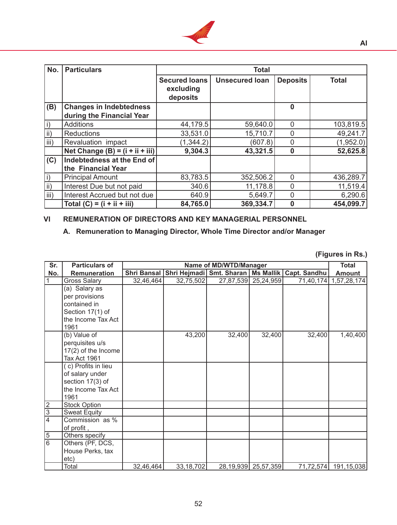

| No.             | <b>Particulars</b>                | <b>Total</b>                                  |                       |                 |              |  |  |
|-----------------|-----------------------------------|-----------------------------------------------|-----------------------|-----------------|--------------|--|--|
|                 |                                   | <b>Secured loans</b><br>excluding<br>deposits | <b>Unsecured loan</b> | <b>Deposits</b> | <b>Total</b> |  |  |
| (B)             | <b>Changes in Indebtedness</b>    |                                               |                       | 0               |              |  |  |
|                 | during the Financial Year         |                                               |                       |                 |              |  |  |
| $\vert$ i)      | <b>Additions</b>                  | 44,179.5                                      | 59,640.0              | 0               | 103,819.5    |  |  |
| $\mathsf{ii}$ ) | <b>Reductions</b>                 | 33,531.0                                      | 15,710.7              | 0               | 49,241.7     |  |  |
| iii)            | Revaluation impact                | (1, 344.2)                                    | (607.8)               | 0               | (1,952.0)    |  |  |
|                 | Net Change $(B) = (i + ii + iii)$ | 9,304.3                                       | 43,321.5              | 0               | 52,625.8     |  |  |
| (C)             | Indebtedness at the End of        |                                               |                       |                 |              |  |  |
|                 | the Financial Year                |                                               |                       |                 |              |  |  |
| $\vert$ i)      | <b>Principal Amount</b>           | 83,783.5                                      | 352,506.2             | 0               | 436,289.7    |  |  |
| $\mathsf{ii}$ ) | Interest Due but not paid         | 340.6                                         | 11,178.8              | 0               | 11,519.4     |  |  |
| iii)            | Interest Accrued but not due      | 640.9                                         | 5,649.7               | 0               | 6,290.6      |  |  |
|                 | Total $(C) = (i + ii + iii)$      | 84,765.0                                      | 369,334.7             | O               | 454,099.7    |  |  |

## **VI REMUNERATION OF DIRECTORS AND KEY MANAGERIAL PERSONNEL**

## **A. Remuneration to Managing Director, Whole Time Director and/or Manager**

**(Figures in Rs.)**

| Sr.            | <b>Particulars of</b> | Name of MD/WTD/Manager |                                                  |        |                         |              | <b>Total</b>         |
|----------------|-----------------------|------------------------|--------------------------------------------------|--------|-------------------------|--------------|----------------------|
| No.            | <b>Remuneration</b>   |                        | Shri Bansal Shri Hejmadi Smt. Sharan   Ms Mallik |        |                         | Capt. Sandhu | <b>Amount</b>        |
|                | <b>Gross Salary</b>   | 32,46,464              | 32,75,502                                        |        | 27,87,539 25,24,959     | 71,40,174    | 1,57,28,174          |
|                | (a) Salary as         |                        |                                                  |        |                         |              |                      |
|                | per provisions        |                        |                                                  |        |                         |              |                      |
|                | contained in          |                        |                                                  |        |                         |              |                      |
|                | Section 17(1) of      |                        |                                                  |        |                         |              |                      |
|                | the Income Tax Act    |                        |                                                  |        |                         |              |                      |
|                | 1961                  |                        |                                                  |        |                         |              |                      |
|                | (b) Value of          |                        | 43,200                                           | 32,400 | 32,400                  | 32,400       | 1,40,400             |
|                | perquisites u/s       |                        |                                                  |        |                         |              |                      |
|                | 17(2) of the Income   |                        |                                                  |        |                         |              |                      |
|                | Tax Act 1961          |                        |                                                  |        |                         |              |                      |
|                | (c) Profits in lieu   |                        |                                                  |        |                         |              |                      |
|                | of salary under       |                        |                                                  |        |                         |              |                      |
|                | section 17(3) of      |                        |                                                  |        |                         |              |                      |
|                | the Income Tax Act    |                        |                                                  |        |                         |              |                      |
|                | 1961                  |                        |                                                  |        |                         |              |                      |
| $\overline{2}$ | <b>Stock Option</b>   |                        |                                                  |        |                         |              |                      |
| $\overline{3}$ | <b>Sweat Equity</b>   |                        |                                                  |        |                         |              |                      |
| $\overline{4}$ | Commission as %       |                        |                                                  |        |                         |              |                      |
|                | of profit,            |                        |                                                  |        |                         |              |                      |
| $\overline{5}$ | Others specify        |                        |                                                  |        |                         |              |                      |
| $\overline{6}$ | Others (PF, DCS,      |                        |                                                  |        |                         |              |                      |
|                | House Perks, tax      |                        |                                                  |        |                         |              |                      |
|                | etc)                  |                        |                                                  |        |                         |              |                      |
|                | Total                 | 32,46,464              | 33, 18, 702                                      |        | 28, 19, 939 25, 57, 359 |              | 71,72,574 191,15,038 |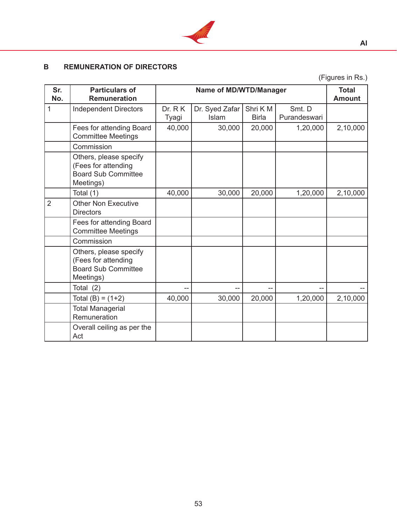

## **B REMUNERATION OF DIRECTORS**

(Figures in Rs.)

**AI**

| Sr.<br>No.     | <b>Particulars of</b><br><b>Remuneration</b>                                             |                  | <b>Total</b><br><b>Amount</b>  |                         |                        |          |
|----------------|------------------------------------------------------------------------------------------|------------------|--------------------------------|-------------------------|------------------------|----------|
| 1              | <b>Independent Directors</b>                                                             | Dr. R K<br>Tyagi | Dr. Syed Zafar<br><b>Islam</b> | Shri KM<br><b>Birla</b> | Smt. D<br>Purandeswari |          |
|                | Fees for attending Board<br><b>Committee Meetings</b>                                    | 40,000           | 30,000                         | 20,000                  | 1,20,000               | 2,10,000 |
|                | Commission                                                                               |                  |                                |                         |                        |          |
|                | Others, please specify<br>(Fees for attending<br><b>Board Sub Committee</b><br>Meetings) |                  |                                |                         |                        |          |
|                | Total (1)                                                                                | 40,000           | 30,000                         | 20,000                  | 1,20,000               | 2,10,000 |
| $\overline{2}$ | <b>Other Non Executive</b><br><b>Directors</b>                                           |                  |                                |                         |                        |          |
|                | Fees for attending Board<br><b>Committee Meetings</b>                                    |                  |                                |                         |                        |          |
|                | Commission                                                                               |                  |                                |                         |                        |          |
|                | Others, please specify<br>(Fees for attending<br><b>Board Sub Committee</b><br>Meetings) |                  |                                |                         |                        |          |
|                | Total $(2)$                                                                              |                  | --                             | --                      |                        |          |
|                | Total $(B) = (1+2)$                                                                      | 40,000           | 30,000                         | 20,000                  | 1,20,000               | 2,10,000 |
|                | <b>Total Managerial</b><br>Remuneration                                                  |                  |                                |                         |                        |          |
|                | Overall ceiling as per the<br>Act                                                        |                  |                                |                         |                        |          |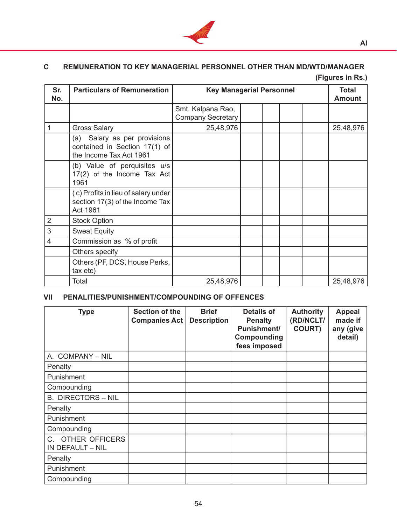

# **C REMUNERATION TO KEY MANAGERIAL PERSONNEL OTHER THAN MD/WTD/MANAGER**

**(Figures in Rs.)**

| Sr.<br>No.     | <b>Particulars of Remuneration</b>                                                       | <b>Key Managerial Personnel</b>               |  |  |  | <b>Total</b><br><b>Amount</b> |           |
|----------------|------------------------------------------------------------------------------------------|-----------------------------------------------|--|--|--|-------------------------------|-----------|
|                |                                                                                          | Smt. Kalpana Rao,<br><b>Company Secretary</b> |  |  |  |                               |           |
| 1              | <b>Gross Salary</b>                                                                      | 25,48,976                                     |  |  |  |                               | 25,48,976 |
|                | (a) Salary as per provisions<br>contained in Section 17(1) of<br>the Income Tax Act 1961 |                                               |  |  |  |                               |           |
|                | (b) Value of perquisites u/s<br>17(2) of the Income Tax Act<br>1961                      |                                               |  |  |  |                               |           |
|                | (c) Profits in lieu of salary under<br>section 17(3) of the Income Tax<br>Act 1961       |                                               |  |  |  |                               |           |
| $\overline{2}$ | <b>Stock Option</b>                                                                      |                                               |  |  |  |                               |           |
| $\sqrt{3}$     | <b>Sweat Equity</b>                                                                      |                                               |  |  |  |                               |           |
| $\overline{4}$ | Commission as % of profit                                                                |                                               |  |  |  |                               |           |
|                | Others specify                                                                           |                                               |  |  |  |                               |           |
|                | Others (PF, DCS, House Perks,<br>tax etc)                                                |                                               |  |  |  |                               |           |
|                | Total                                                                                    | 25,48,976                                     |  |  |  |                               | 25,48,976 |

## **VII PENALITIES/PUNISHMENT/COMPOUNDING OF OFFENCES**

| <b>Type</b>                                          | Section of the<br><b>Companies Act</b> | <b>Brief</b><br><b>Description</b> | <b>Details of</b><br><b>Penalty</b><br><b>Punishment/</b><br>Compounding<br>fees imposed | <b>Authority</b><br>(RD/NCLT/<br><b>COURT)</b> | <b>Appeal</b><br>made if<br>any (give<br>detail) |
|------------------------------------------------------|----------------------------------------|------------------------------------|------------------------------------------------------------------------------------------|------------------------------------------------|--------------------------------------------------|
| A. COMPANY - NIL                                     |                                        |                                    |                                                                                          |                                                |                                                  |
| Penalty                                              |                                        |                                    |                                                                                          |                                                |                                                  |
| Punishment                                           |                                        |                                    |                                                                                          |                                                |                                                  |
| Compounding                                          |                                        |                                    |                                                                                          |                                                |                                                  |
| <b>B. DIRECTORS - NIL</b>                            |                                        |                                    |                                                                                          |                                                |                                                  |
| Penalty                                              |                                        |                                    |                                                                                          |                                                |                                                  |
| Punishment                                           |                                        |                                    |                                                                                          |                                                |                                                  |
| Compounding                                          |                                        |                                    |                                                                                          |                                                |                                                  |
| <b>OTHER OFFICERS</b><br>$C_{-}$<br>IN DEFAULT - NIL |                                        |                                    |                                                                                          |                                                |                                                  |
| Penalty                                              |                                        |                                    |                                                                                          |                                                |                                                  |
| Punishment                                           |                                        |                                    |                                                                                          |                                                |                                                  |
| Compounding                                          |                                        |                                    |                                                                                          |                                                |                                                  |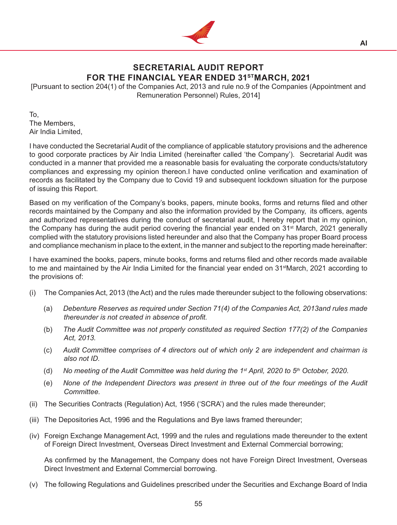

# **SECRETARIAL AUDIT REPORT FOR THE FINANCIAL YEAR ENDED 31STMARCH, 2021**

[Pursuant to section 204(1) of the Companies Act, 2013 and rule no.9 of the Companies (Appointment and Remuneration Personnel) Rules, 2014]

To, The Members, Air India Limited,

I have conducted the Secretarial Audit of the compliance of applicable statutory provisions and the adherence to good corporate practices by Air India Limited (hereinafter called 'the Company'). Secretarial Audit was conducted in a manner that provided me a reasonable basis for evaluating the corporate conducts/statutory compliances and expressing my opinion thereon.I have conducted online verification and examination of records as facilitated by the Company due to Covid 19 and subsequent lockdown situation for the purpose of issuing this Report.

Based on my verification of the Company's books, papers, minute books, forms and returns filed and other records maintained by the Company and also the information provided by the Company, its officers, agents and authorized representatives during the conduct of secretarial audit, I hereby report that in my opinion, the Company has during the audit period covering the financial year ended on 31<sup>st</sup> March, 2021 generally complied with the statutory provisions listed hereunder and also that the Company has proper Board process and compliance mechanism in place to the extent, in the manner and subject to the reporting made hereinafter:

I have examined the books, papers, minute books, forms and returns filed and other records made available to me and maintained by the Air India Limited for the financial year ended on 31<sup>st</sup>March, 2021 according to the provisions of:

- (i) The Companies Act, 2013 (the Act) and the rules made thereunder subject to the following observations:
	- (a) *Debenture Reserves as required under Section 71(4) of the Companies Act, 2013and rules made thereunder is not created in absence of profit.*
	- (b) *The Audit Committee was not properly constituted as required Section 177(2) of the Companies Act, 2013.*
	- (c) *Audit Committee comprises of 4 directors out of which only 2 are independent and chairman is also not ID.*
	- (d) *No meeting of the Audit Committee was held during the 1st April, 2020 to 5th October, 2020.*
	- (e) *None of the Independent Directors was present in three out of the four meetings of the Audit Committee.*
- (ii) The Securities Contracts (Regulation) Act, 1956 ('SCRA') and the rules made thereunder;
- (iii) The Depositories Act, 1996 and the Regulations and Bye laws framed thereunder;
- (iv) Foreign Exchange Management Act, 1999 and the rules and regulations made thereunder to the extent of Foreign Direct Investment, Overseas Direct Investment and External Commercial borrowing;

 As confirmed by the Management, the Company does not have Foreign Direct Investment, Overseas Direct Investment and External Commercial borrowing.

(v) The following Regulations and Guidelines prescribed under the Securities and Exchange Board of India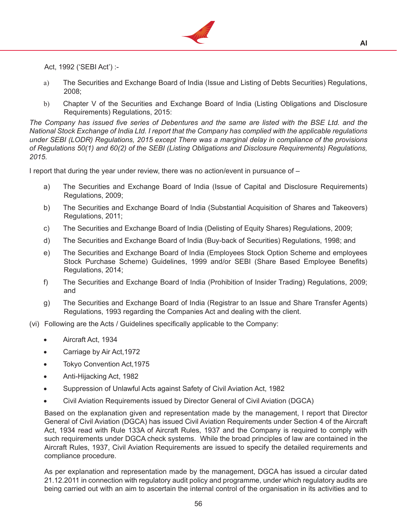

Act, 1992 ('SEBI Act') :-

- a) The Securities and Exchange Board of India (Issue and Listing of Debts Securities) Regulations, 2008;
- b) Chapter V of the Securities and Exchange Board of India (Listing Obligations and Disclosure Requirements) Regulations, 2015:

*The Company has issued five series of Debentures and the same are listed with the BSE Ltd. and the National Stock Exchange of India Ltd. I report that the Company has complied with the applicable regulations under SEBI (LODR) Regulations, 2015 except There was a marginal delay in compliance of the provisions of Regulations 50(1) and 60(2) of the SEBI (Listing Obligations and Disclosure Requirements) Regulations, 2015.*

I report that during the year under review, there was no action/event in pursuance of –

- a) The Securities and Exchange Board of India (Issue of Capital and Disclosure Requirements) Regulations, 2009;
- b) The Securities and Exchange Board of India (Substantial Acquisition of Shares and Takeovers) Regulations, 2011;
- c) The Securities and Exchange Board of India (Delisting of Equity Shares) Regulations, 2009;
- d) The Securities and Exchange Board of India (Buy-back of Securities) Regulations, 1998; and
- e) The Securities and Exchange Board of India (Employees Stock Option Scheme and employees Stock Purchase Scheme) Guidelines, 1999 and/or SEBI (Share Based Employee Benefits) Regulations, 2014;
- f) The Securities and Exchange Board of India (Prohibition of Insider Trading) Regulations, 2009; and
- g) The Securities and Exchange Board of India (Registrar to an Issue and Share Transfer Agents) Regulations, 1993 regarding the Companies Act and dealing with the client.
- (vi) Following are the Acts / Guidelines specifically applicable to the Company:
	- Aircraft Act, 1934
	- Carriage by Air Act, 1972
	- Tokyo Convention Act, 1975
	- Anti-Hijacking Act, 1982
	- Suppression of Unlawful Acts against Safety of Civil Aviation Act, 1982
	- Civil Aviation Requirements issued by Director General of Civil Aviation (DGCA)

 Based on the explanation given and representation made by the management, I report that Director General of Civil Aviation (DGCA) has issued Civil Aviation Requirements under Section 4 of the Aircraft Act, 1934 read with Rule 133A of Aircraft Rules, 1937 and the Company is required to comply with such requirements under DGCA check systems. While the broad principles of law are contained in the Aircraft Rules, 1937, Civil Aviation Requirements are issued to specify the detailed requirements and compliance procedure.

 As per explanation and representation made by the management, DGCA has issued a circular dated 21.12.2011 in connection with regulatory audit policy and programme, under which regulatory audits are being carried out with an aim to ascertain the internal control of the organisation in its activities and to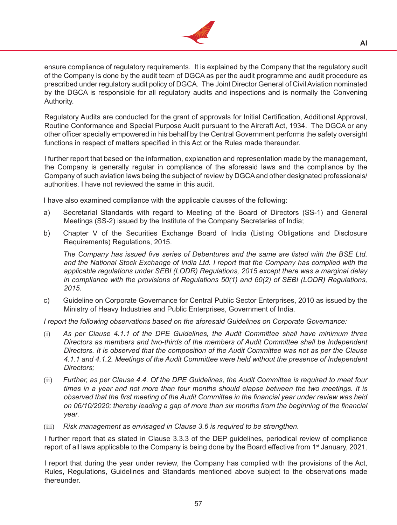

ensure compliance of regulatory requirements. It is explained by the Company that the regulatory audit of the Company is done by the audit team of DGCA as per the audit programme and audit procedure as prescribed under regulatory audit policy of DGCA. The Joint Director General of Civil Aviation nominated by the DGCA is responsible for all regulatory audits and inspections and is normally the Convening Authority.

 Regulatory Audits are conducted for the grant of approvals for Initial Certification, Additional Approval, Routine Conformance and Special Purpose Audit pursuant to the Aircraft Act, 1934. The DGCA or any other officer specially empowered in his behalf by the Central Government performs the safety oversight functions in respect of matters specified in this Act or the Rules made thereunder.

 I further report that based on the information, explanation and representation made by the management, the Company is generally regular in compliance of the aforesaid laws and the compliance by the Company of such aviation laws being the subject of review by DGCAand other designated professionals/ authorities. I have not reviewed the same in this audit.

I have also examined compliance with the applicable clauses of the following:

- a) Secretarial Standards with regard to Meeting of the Board of Directors (SS-1) and General Meetings (SS-2) issued by the Institute of the Company Secretaries of India;
- b) Chapter V of the Securities Exchange Board of India (Listing Obligations and Disclosure Requirements) Regulations, 2015.

*The Company has issued five series of Debentures and the same are listed with the BSE Ltd. and the National Stock Exchange of India Ltd. I report that the Company has complied with the applicable regulations under SEBI (LODR) Regulations, 2015 except there was a marginal delay in compliance with the provisions of Regulations 50(1) and 60(2) of SEBI (LODR) Regulations, 2015.*

c) Guideline on Corporate Governance for Central Public Sector Enterprises, 2010 as issued by the Ministry of Heavy Industries and Public Enterprises, Government of India.

*I report the following observations based on the aforesaid Guidelines on Corporate Governance:*

- (i) *As per Clause 4.1.1 of the DPE Guidelines, the Audit Committee shall have minimum three Directors as members and two-thirds of the members of Audit Committee shall be Independent Directors. It is observed that the composition of the Audit Committee was not as per the Clause 4.1.1 and 4.1.2. Meetings of the Audit Committee were held without the presence of Independent Directors;*
- (ii) *Further, as per Clause 4.4. Of the DPE Guidelines, the Audit Committee is required to meet four times in a year and not more than four months should elapse between the two meetings. It is observed that the first meeting of the Audit Committee in the financial year under review was held on 06/10/2020; thereby leading a gap of more than six months from the beginning of the financial year.*
- (iii) *Risk management as envisaged in Clause 3.6 is required to be strengthen.*

 I further report that as stated in Clause 3.3.3 of the DEP guidelines, periodical review of compliance report of all laws applicable to the Company is being done by the Board effective from 1<sup>st</sup> January, 2021.

 I report that during the year under review, the Company has complied with the provisions of the Act, Rules, Regulations, Guidelines and Standards mentioned above subject to the observations made thereunder.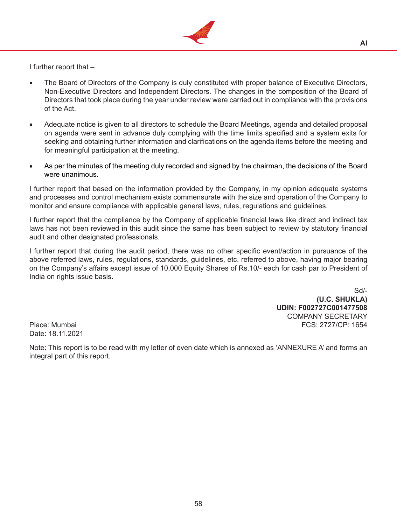

I further report that –

- The Board of Directors of the Company is duly constituted with proper balance of Executive Directors, Non-Executive Directors and Independent Directors. The changes in the composition of the Board of Directors that took place during the year under review were carried out in compliance with the provisions of the Act.
- Adequate notice is given to all directors to schedule the Board Meetings, agenda and detailed proposal on agenda were sent in advance duly complying with the time limits specified and a system exits for seeking and obtaining further information and clarifications on the agenda items before the meeting and for meaningful participation at the meeting.
- As per the minutes of the meeting duly recorded and signed by the chairman, the decisions of the Board were unanimous.

I further report that based on the information provided by the Company, in my opinion adequate systems and processes and control mechanism exists commensurate with the size and operation of the Company to monitor and ensure compliance with applicable general laws, rules, regulations and guidelines.

I further report that the compliance by the Company of applicable financial laws like direct and indirect tax laws has not been reviewed in this audit since the same has been subject to review by statutory financial audit and other designated professionals.

I further report that during the audit period, there was no other specific event/action in pursuance of the above referred laws, rules, regulations, standards, guidelines, etc. referred to above, having major bearing on the Company's affairs except issue of 10,000 Equity Shares of Rs.10/- each for cash par to President of India on rights issue basis.

Sd/- **(U.C. SHUKLA) UDIN: F002727C001477508** COMPANY SECRETARY Place: Mumbai **FCS: 2727/CP: 1654** 

Date: 18.11.2021

Note: This report is to be read with my letter of even date which is annexed as 'ANNEXURE A' and forms an integral part of this report.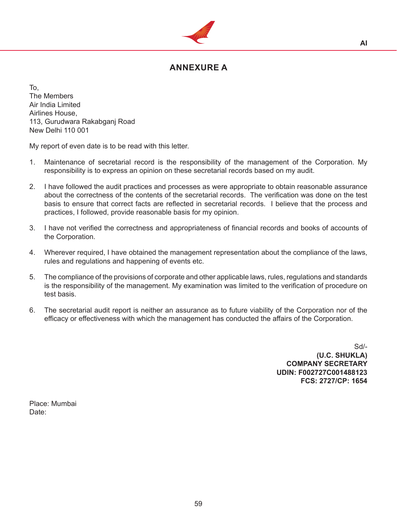

## **ANNEXURE A**

To, The Members Air India Limited Airlines House, 113, Gurudwara Rakabganj Road New Delhi 110 001

My report of even date is to be read with this letter.

- 1. Maintenance of secretarial record is the responsibility of the management of the Corporation. My responsibility is to express an opinion on these secretarial records based on my audit.
- 2. I have followed the audit practices and processes as were appropriate to obtain reasonable assurance about the correctness of the contents of the secretarial records. The verification was done on the test basis to ensure that correct facts are reflected in secretarial records. I believe that the process and practices, I followed, provide reasonable basis for my opinion.
- 3. I have not verified the correctness and appropriateness of financial records and books of accounts of the Corporation.
- 4. Wherever required, I have obtained the management representation about the compliance of the laws, rules and regulations and happening of events etc.
- 5. The compliance of the provisions of corporate and other applicable laws, rules, regulations and standards is the responsibility of the management. My examination was limited to the verification of procedure on test basis.
- 6. The secretarial audit report is neither an assurance as to future viability of the Corporation nor of the efficacy or effectiveness with which the management has conducted the affairs of the Corporation.

Sd/- **(U.C. SHUKLA) COMPANY SECRETARY UDIN: F002727C001488123 FCS: 2727/CP: 1654**

Place: Mumbai Date: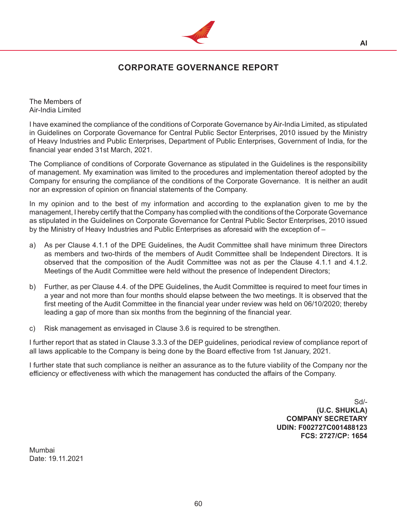

## **CORPORATE GOVERNANCE REPORT**

The Members of Air-India Limited

I have examined the compliance of the conditions of Corporate Governance by Air-India Limited, as stipulated in Guidelines on Corporate Governance for Central Public Sector Enterprises, 2010 issued by the Ministry of Heavy Industries and Public Enterprises, Department of Public Enterprises, Government of India, for the financial year ended 31st March, 2021.

The Compliance of conditions of Corporate Governance as stipulated in the Guidelines is the responsibility of management. My examination was limited to the procedures and implementation thereof adopted by the Company for ensuring the compliance of the conditions of the Corporate Governance. It is neither an audit nor an expression of opinion on financial statements of the Company.

In my opinion and to the best of my information and according to the explanation given to me by the management, I hereby certify that the Company has complied with the conditions of the Corporate Governance as stipulated in the Guidelines on Corporate Governance for Central Public Sector Enterprises, 2010 issued by the Ministry of Heavy Industries and Public Enterprises as aforesaid with the exception of –

- a) As per Clause 4.1.1 of the DPE Guidelines, the Audit Committee shall have minimum three Directors as members and two-thirds of the members of Audit Committee shall be Independent Directors. It is observed that the composition of the Audit Committee was not as per the Clause 4.1.1 and 4.1.2. Meetings of the Audit Committee were held without the presence of Independent Directors;
- b) Further, as per Clause 4.4. of the DPE Guidelines, the Audit Committee is required to meet four times in a year and not more than four months should elapse between the two meetings. It is observed that the first meeting of the Audit Committee in the financial year under review was held on 06/10/2020; thereby leading a gap of more than six months from the beginning of the financial year.
- c) Risk management as envisaged in Clause 3.6 is required to be strengthen.

I further report that as stated in Clause 3.3.3 of the DEP guidelines, periodical review of compliance report of all laws applicable to the Company is being done by the Board effective from 1st January, 2021.

I further state that such compliance is neither an assurance as to the future viability of the Company nor the efficiency or effectiveness with which the management has conducted the affairs of the Company.

> Sd/- **(U.C. SHUKLA) COMPANY SECRETARY UDIN: F002727C001488123 FCS: 2727/CP: 1654**

Mumbai Date: 19.11.2021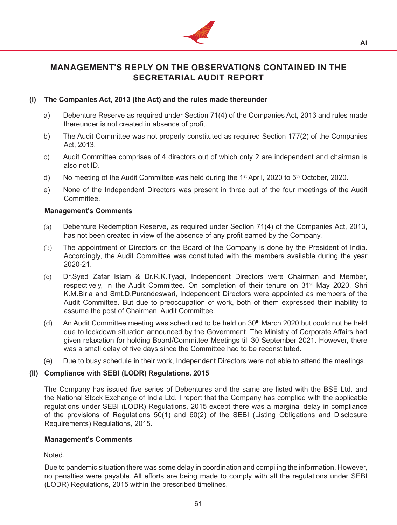

**AI**

## **MANAGEMENT'S REPLY ON THE OBSERVATIONS CONTAINED IN THE SECRETARIAL AUDIT REPORT**

## **(I) The Companies Act, 2013 (the Act) and the rules made thereunder**

- a) Debenture Reserve as required under Section 71(4) of the Companies Act, 2013 and rules made thereunder is not created in absence of profit.
- b) The Audit Committee was not properly constituted as required Section 177(2) of the Companies Act, 2013.
- c) Audit Committee comprises of 4 directors out of which only 2 are independent and chairman is also not ID.
- d) No meeting of the Audit Committee was held during the 1<sup>st</sup> April, 2020 to  $5<sup>th</sup>$  October, 2020.
- e) None of the Independent Directors was present in three out of the four meetings of the Audit Committee.

#### **Management's Comments**

- (a) Debenture Redemption Reserve, as required under Section 71(4) of the Companies Act, 2013, has not been created in view of the absence of any profit earned by the Company.
- (b) The appointment of Directors on the Board of the Company is done by the President of India. Accordingly, the Audit Committee was constituted with the members available during the year 2020-21.
- (c) Dr.Syed Zafar Islam & Dr.R.K.Tyagi, Independent Directors were Chairman and Member, respectively, in the Audit Committee. On completion of their tenure on 31<sup>st</sup> May 2020, Shri K.M.Birla and Smt.D.Purandeswari, Independent Directors were appointed as members of the Audit Committee. But due to preoccupation of work, both of them expressed their inability to assume the post of Chairman, Audit Committee.
- (d) An Audit Committee meeting was scheduled to be held on 30<sup>th</sup> March 2020 but could not be held due to lockdown situation announced by the Government. The Ministry of Corporate Affairs had given relaxation for holding Board/Committee Meetings till 30 September 2021. However, there was a small delay of five days since the Committee had to be reconstituted.
- (e) Due to busy schedule in their work, Independent Directors were not able to attend the meetings.

#### **(II) Compliance with SEBI (LODR) Regulations, 2015**

The Company has issued five series of Debentures and the same are listed with the BSE Ltd. and the National Stock Exchange of India Ltd. I report that the Company has complied with the applicable regulations under SEBI (LODR) Regulations, 2015 except there was a marginal delay in compliance of the provisions of Regulations 50(1) and 60(2) of the SEBI (Listing Obligations and Disclosure Requirements) Regulations, 2015.

#### **Management's Comments**

Noted.

 Due to pandemic situation there was some delay in coordination and compiling the information. However, no penalties were payable. All efforts are being made to comply with all the regulations under SEBI (LODR) Regulations, 2015 within the prescribed timelines.